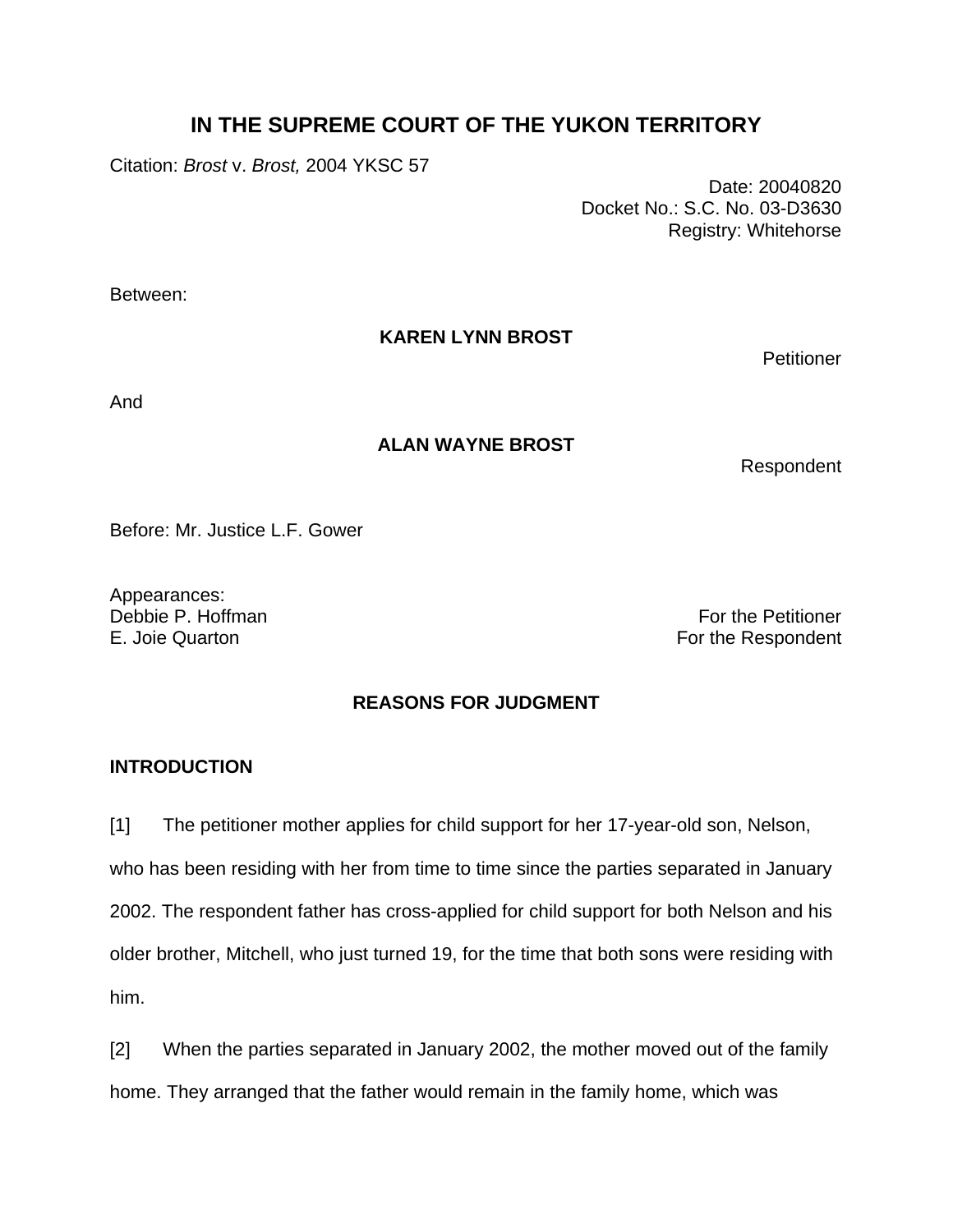# **IN THE SUPREME COURT OF THE YUKON TERRITORY**

Citation: *Brost* v. *Brost,* 2004 YKSC 57

 Date: 20040820 Docket No.: S.C. No. 03-D3630 Registry: Whitehorse

Between:

**KAREN LYNN BROST** 

**Petitioner** 

And

## **ALAN WAYNE BROST**

Respondent

Before: Mr. Justice L.F. Gower

Appearances: Debbie P. Hoffman For the Petitioner

E. Joie Quarton **For the Respondent** 

## **REASONS FOR JUDGMENT**

## **INTRODUCTION**

[1] The petitioner mother applies for child support for her 17-year-old son, Nelson, who has been residing with her from time to time since the parties separated in January 2002. The respondent father has cross-applied for child support for both Nelson and his older brother, Mitchell, who just turned 19, for the time that both sons were residing with him.

[2] When the parties separated in January 2002, the mother moved out of the family home. They arranged that the father would remain in the family home, which was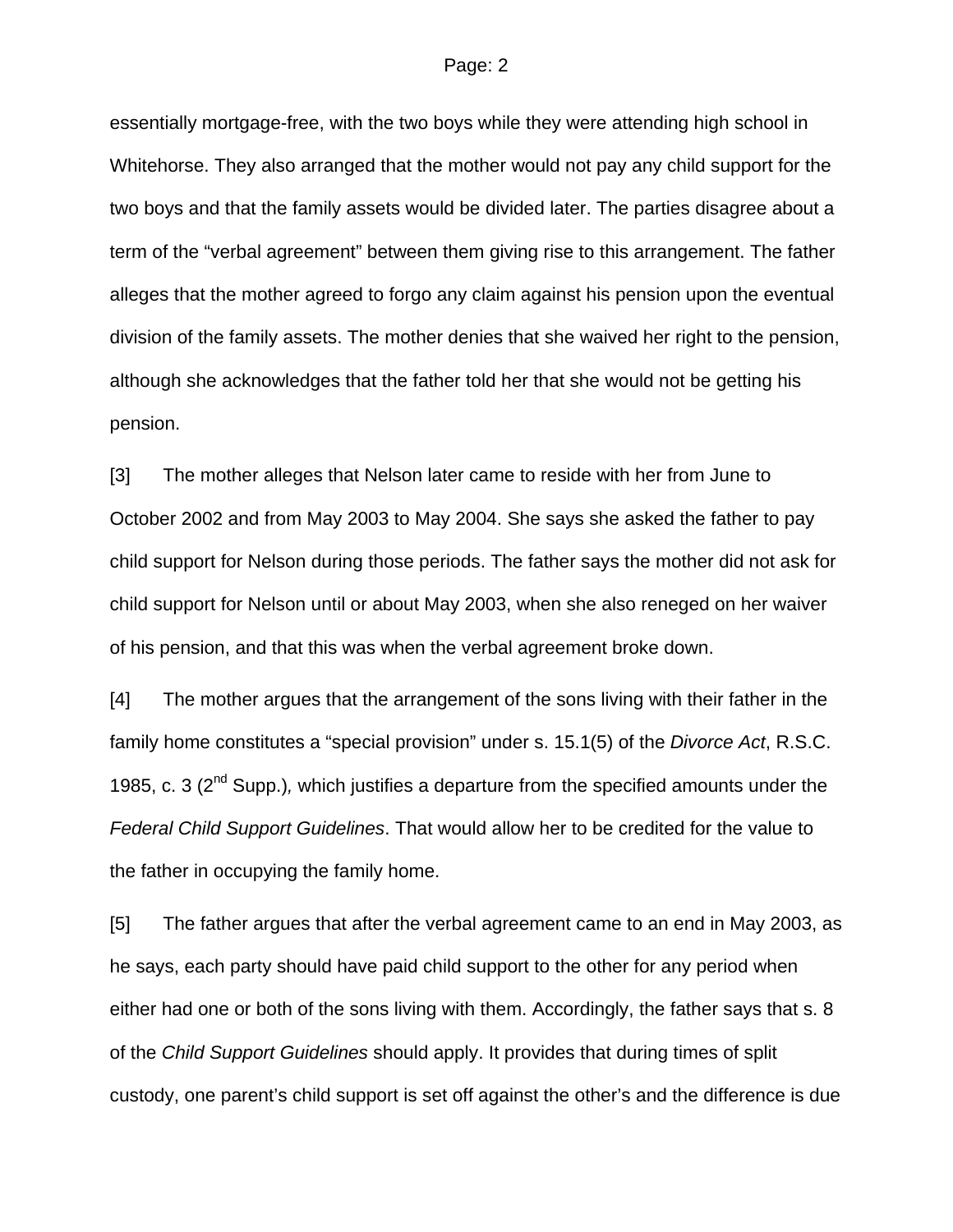#### Page: 2

essentially mortgage-free, with the two boys while they were attending high school in Whitehorse. They also arranged that the mother would not pay any child support for the two boys and that the family assets would be divided later. The parties disagree about a term of the "verbal agreement" between them giving rise to this arrangement. The father alleges that the mother agreed to forgo any claim against his pension upon the eventual division of the family assets. The mother denies that she waived her right to the pension, although she acknowledges that the father told her that she would not be getting his pension.

[3] The mother alleges that Nelson later came to reside with her from June to October 2002 and from May 2003 to May 2004. She says she asked the father to pay child support for Nelson during those periods. The father says the mother did not ask for child support for Nelson until or about May 2003, when she also reneged on her waiver of his pension, and that this was when the verbal agreement broke down.

[4] The mother argues that the arrangement of the sons living with their father in the family home constitutes a "special provision" under s. 15.1(5) of the *Divorce Act*, R.S.C. 1985, c. 3 (2nd Supp.)*,* which justifies a departure from the specified amounts under the *Federal Child Support Guidelines*. That would allow her to be credited for the value to the father in occupying the family home.

[5] The father argues that after the verbal agreement came to an end in May 2003, as he says, each party should have paid child support to the other for any period when either had one or both of the sons living with them. Accordingly, the father says that s. 8 of the *Child Support Guidelines* should apply. It provides that during times of split custody, one parent's child support is set off against the other's and the difference is due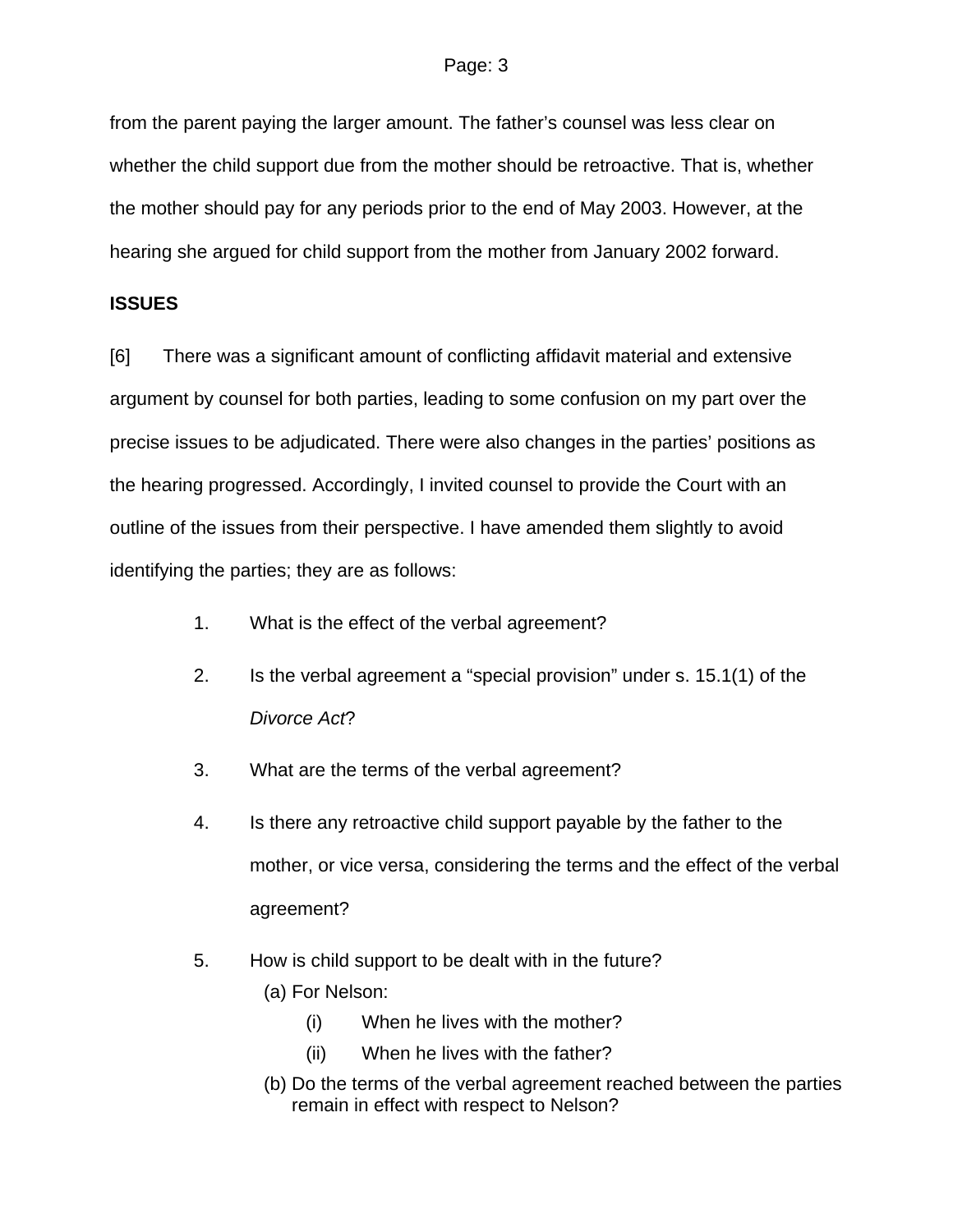from the parent paying the larger amount. The father's counsel was less clear on whether the child support due from the mother should be retroactive. That is, whether the mother should pay for any periods prior to the end of May 2003. However, at the hearing she argued for child support from the mother from January 2002 forward.

## **ISSUES**

[6] There was a significant amount of conflicting affidavit material and extensive argument by counsel for both parties, leading to some confusion on my part over the precise issues to be adjudicated. There were also changes in the parties' positions as the hearing progressed. Accordingly, I invited counsel to provide the Court with an outline of the issues from their perspective. I have amended them slightly to avoid identifying the parties; they are as follows:

- 1. What is the effect of the verbal agreement?
- 2. Is the verbal agreement a "special provision" under s. 15.1(1) of the *Divorce Act*?
- 3. What are the terms of the verbal agreement?
- 4. Is there any retroactive child support payable by the father to the mother, or vice versa, considering the terms and the effect of the verbal agreement?
- 5. How is child support to be dealt with in the future?
	- (a) For Nelson:
		- (i) When he lives with the mother?
		- (ii) When he lives with the father?
	- (b) Do the terms of the verbal agreement reached between the parties remain in effect with respect to Nelson?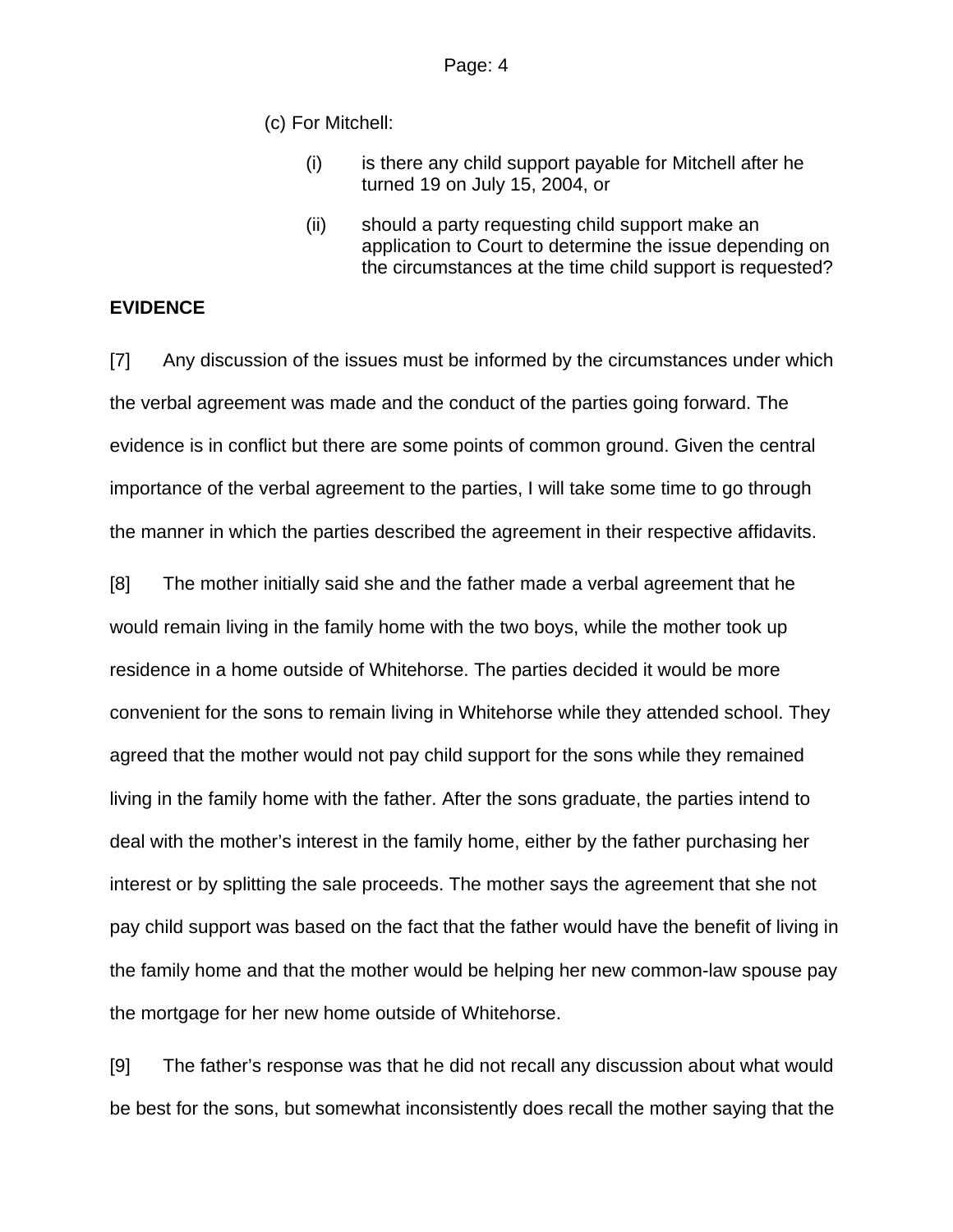(c) For Mitchell:

- (i) is there any child support payable for Mitchell after he turned 19 on July 15, 2004, or
- (ii) should a party requesting child support make an application to Court to determine the issue depending on the circumstances at the time child support is requested?

## **EVIDENCE**

[7] Any discussion of the issues must be informed by the circumstances under which the verbal agreement was made and the conduct of the parties going forward. The evidence is in conflict but there are some points of common ground. Given the central importance of the verbal agreement to the parties, I will take some time to go through the manner in which the parties described the agreement in their respective affidavits.

[8] The mother initially said she and the father made a verbal agreement that he would remain living in the family home with the two boys, while the mother took up residence in a home outside of Whitehorse. The parties decided it would be more convenient for the sons to remain living in Whitehorse while they attended school. They agreed that the mother would not pay child support for the sons while they remained living in the family home with the father. After the sons graduate, the parties intend to deal with the mother's interest in the family home, either by the father purchasing her interest or by splitting the sale proceeds. The mother says the agreement that she not pay child support was based on the fact that the father would have the benefit of living in the family home and that the mother would be helping her new common-law spouse pay the mortgage for her new home outside of Whitehorse.

[9] The father's response was that he did not recall any discussion about what would be best for the sons, but somewhat inconsistently does recall the mother saying that the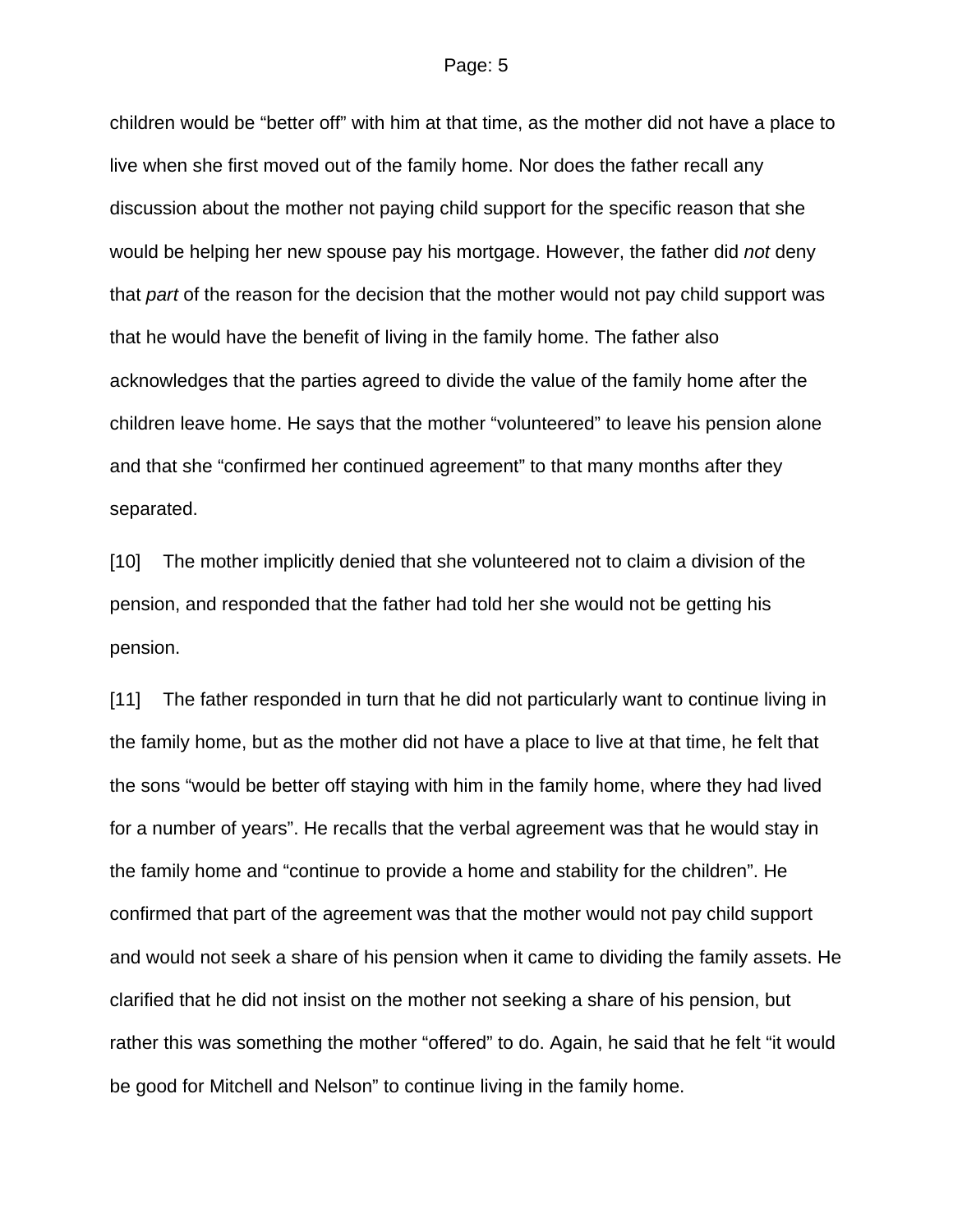#### Page: 5

children would be "better off" with him at that time, as the mother did not have a place to live when she first moved out of the family home. Nor does the father recall any discussion about the mother not paying child support for the specific reason that she would be helping her new spouse pay his mortgage. However, the father did *not* deny that *part* of the reason for the decision that the mother would not pay child support was that he would have the benefit of living in the family home. The father also acknowledges that the parties agreed to divide the value of the family home after the children leave home. He says that the mother "volunteered" to leave his pension alone and that she "confirmed her continued agreement" to that many months after they separated.

[10] The mother implicitly denied that she volunteered not to claim a division of the pension, and responded that the father had told her she would not be getting his pension.

[11] The father responded in turn that he did not particularly want to continue living in the family home, but as the mother did not have a place to live at that time, he felt that the sons "would be better off staying with him in the family home, where they had lived for a number of years". He recalls that the verbal agreement was that he would stay in the family home and "continue to provide a home and stability for the children". He confirmed that part of the agreement was that the mother would not pay child support and would not seek a share of his pension when it came to dividing the family assets. He clarified that he did not insist on the mother not seeking a share of his pension, but rather this was something the mother "offered" to do. Again, he said that he felt "it would be good for Mitchell and Nelson" to continue living in the family home.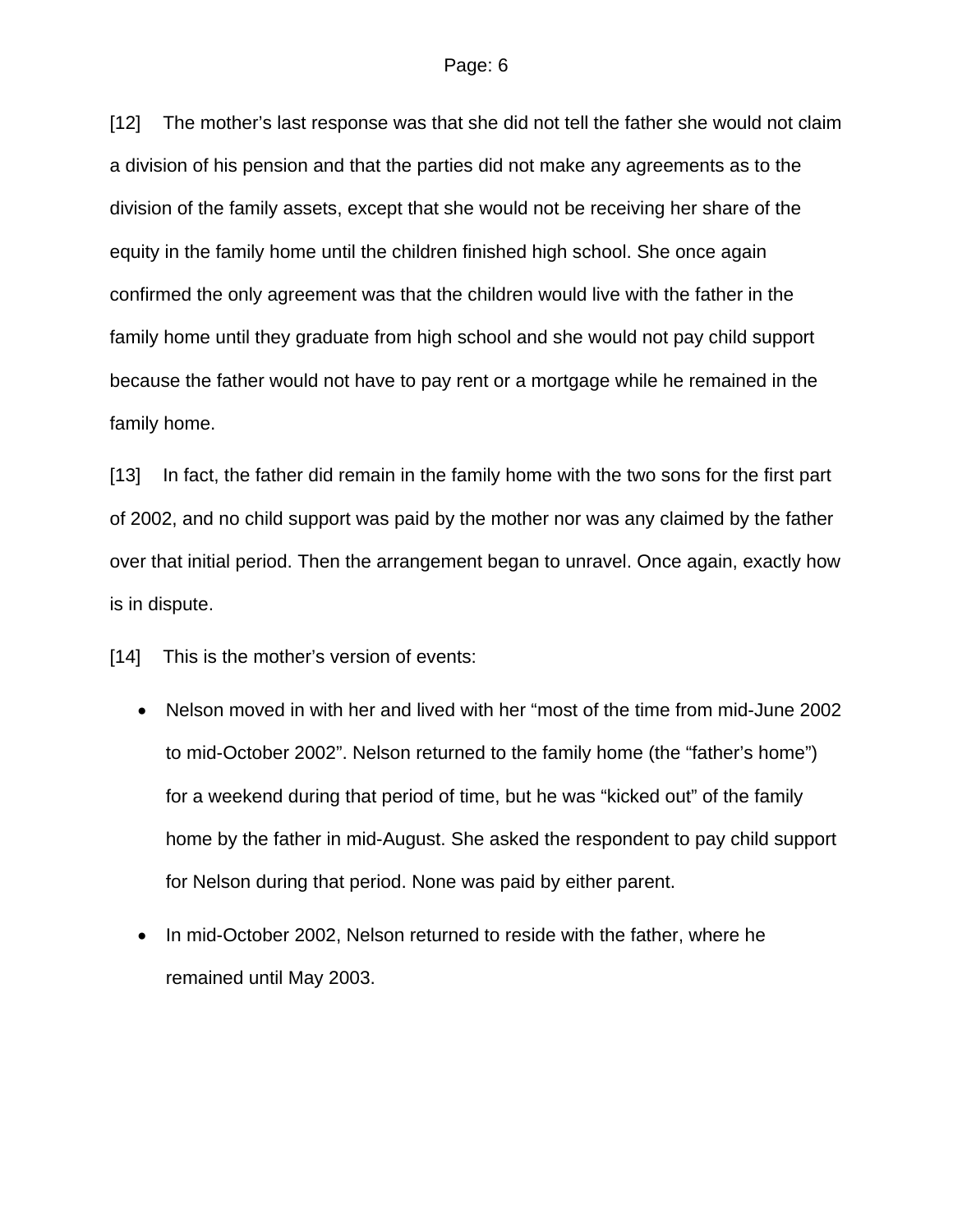[12] The mother's last response was that she did not tell the father she would not claim a division of his pension and that the parties did not make any agreements as to the division of the family assets, except that she would not be receiving her share of the equity in the family home until the children finished high school. She once again confirmed the only agreement was that the children would live with the father in the family home until they graduate from high school and she would not pay child support because the father would not have to pay rent or a mortgage while he remained in the family home.

[13] In fact, the father did remain in the family home with the two sons for the first part of 2002, and no child support was paid by the mother nor was any claimed by the father over that initial period. Then the arrangement began to unravel. Once again, exactly how is in dispute.

[14] This is the mother's version of events:

- Nelson moved in with her and lived with her "most of the time from mid-June 2002 to mid-October 2002". Nelson returned to the family home (the "father's home") for a weekend during that period of time, but he was "kicked out" of the family home by the father in mid-August. She asked the respondent to pay child support for Nelson during that period. None was paid by either parent.
- In mid-October 2002, Nelson returned to reside with the father, where he remained until May 2003.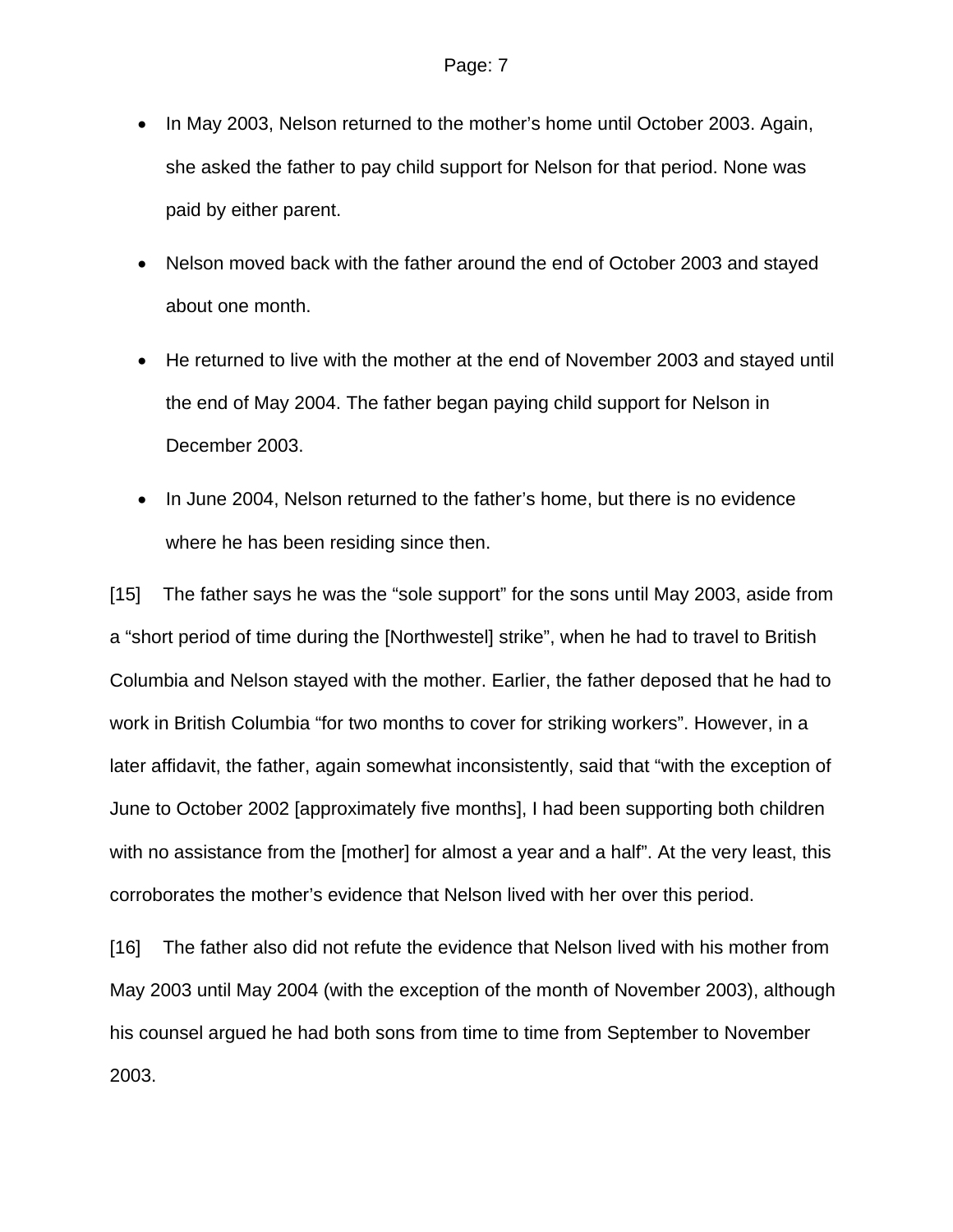- In May 2003, Nelson returned to the mother's home until October 2003. Again, she asked the father to pay child support for Nelson for that period. None was paid by either parent.
- Nelson moved back with the father around the end of October 2003 and stayed about one month.
- He returned to live with the mother at the end of November 2003 and stayed until the end of May 2004. The father began paying child support for Nelson in December 2003.
- In June 2004, Nelson returned to the father's home, but there is no evidence where he has been residing since then.

[15] The father says he was the "sole support" for the sons until May 2003, aside from a "short period of time during the [Northwestel] strike", when he had to travel to British Columbia and Nelson stayed with the mother. Earlier, the father deposed that he had to work in British Columbia "for two months to cover for striking workers". However, in a later affidavit, the father, again somewhat inconsistently, said that "with the exception of June to October 2002 [approximately five months], I had been supporting both children with no assistance from the [mother] for almost a year and a half". At the very least, this corroborates the mother's evidence that Nelson lived with her over this period.

[16] The father also did not refute the evidence that Nelson lived with his mother from May 2003 until May 2004 (with the exception of the month of November 2003), although his counsel argued he had both sons from time to time from September to November 2003.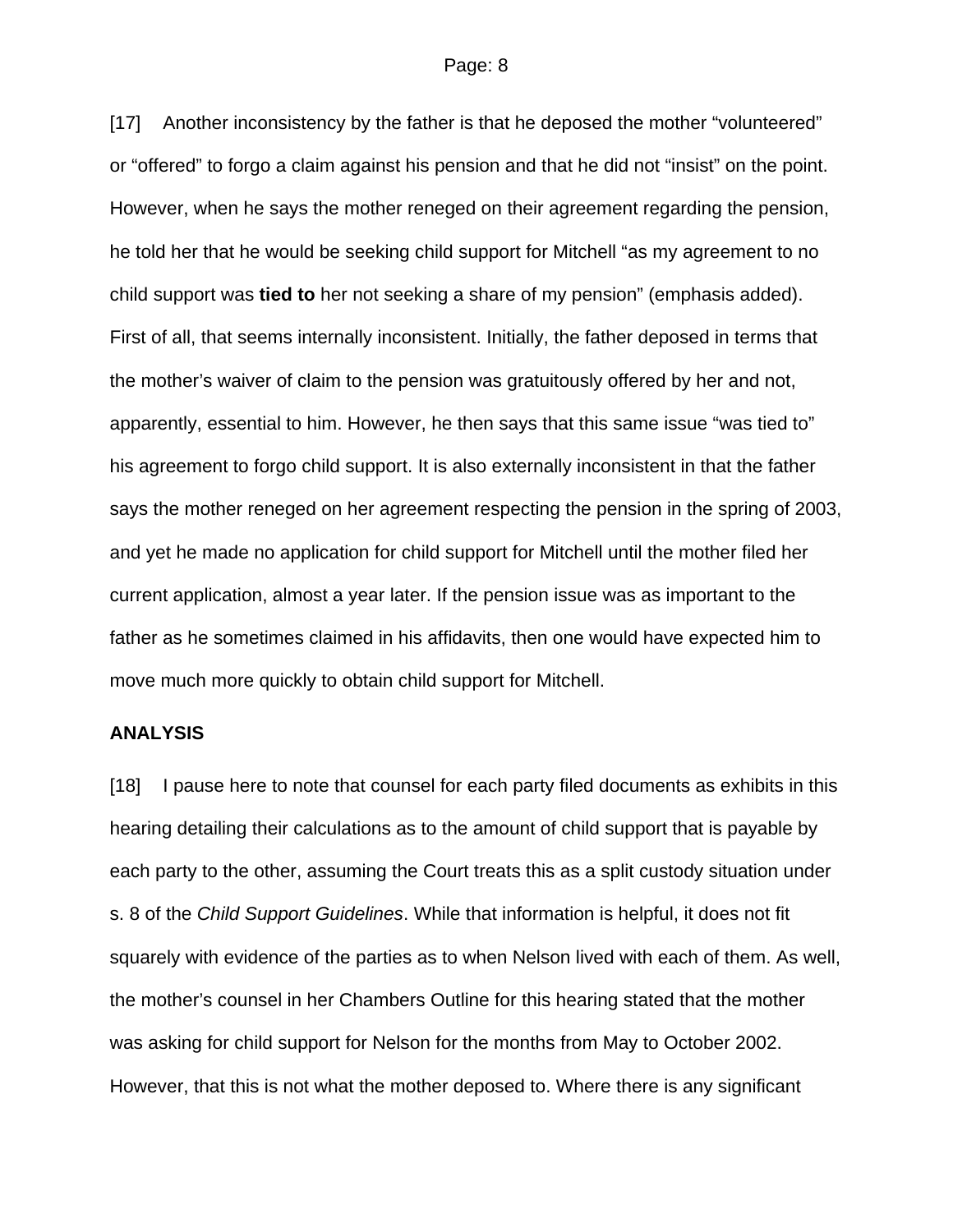#### Page: 8

[17] Another inconsistency by the father is that he deposed the mother "volunteered" or "offered" to forgo a claim against his pension and that he did not "insist" on the point. However, when he says the mother reneged on their agreement regarding the pension, he told her that he would be seeking child support for Mitchell "as my agreement to no child support was **tied to** her not seeking a share of my pension" (emphasis added). First of all, that seems internally inconsistent. Initially, the father deposed in terms that the mother's waiver of claim to the pension was gratuitously offered by her and not, apparently, essential to him. However, he then says that this same issue "was tied to" his agreement to forgo child support. It is also externally inconsistent in that the father says the mother reneged on her agreement respecting the pension in the spring of 2003, and yet he made no application for child support for Mitchell until the mother filed her current application, almost a year later. If the pension issue was as important to the father as he sometimes claimed in his affidavits, then one would have expected him to move much more quickly to obtain child support for Mitchell.

### **ANALYSIS**

[18] I pause here to note that counsel for each party filed documents as exhibits in this hearing detailing their calculations as to the amount of child support that is payable by each party to the other, assuming the Court treats this as a split custody situation under s. 8 of the *Child Support Guidelines*. While that information is helpful, it does not fit squarely with evidence of the parties as to when Nelson lived with each of them. As well, the mother's counsel in her Chambers Outline for this hearing stated that the mother was asking for child support for Nelson for the months from May to October 2002. However, that this is not what the mother deposed to. Where there is any significant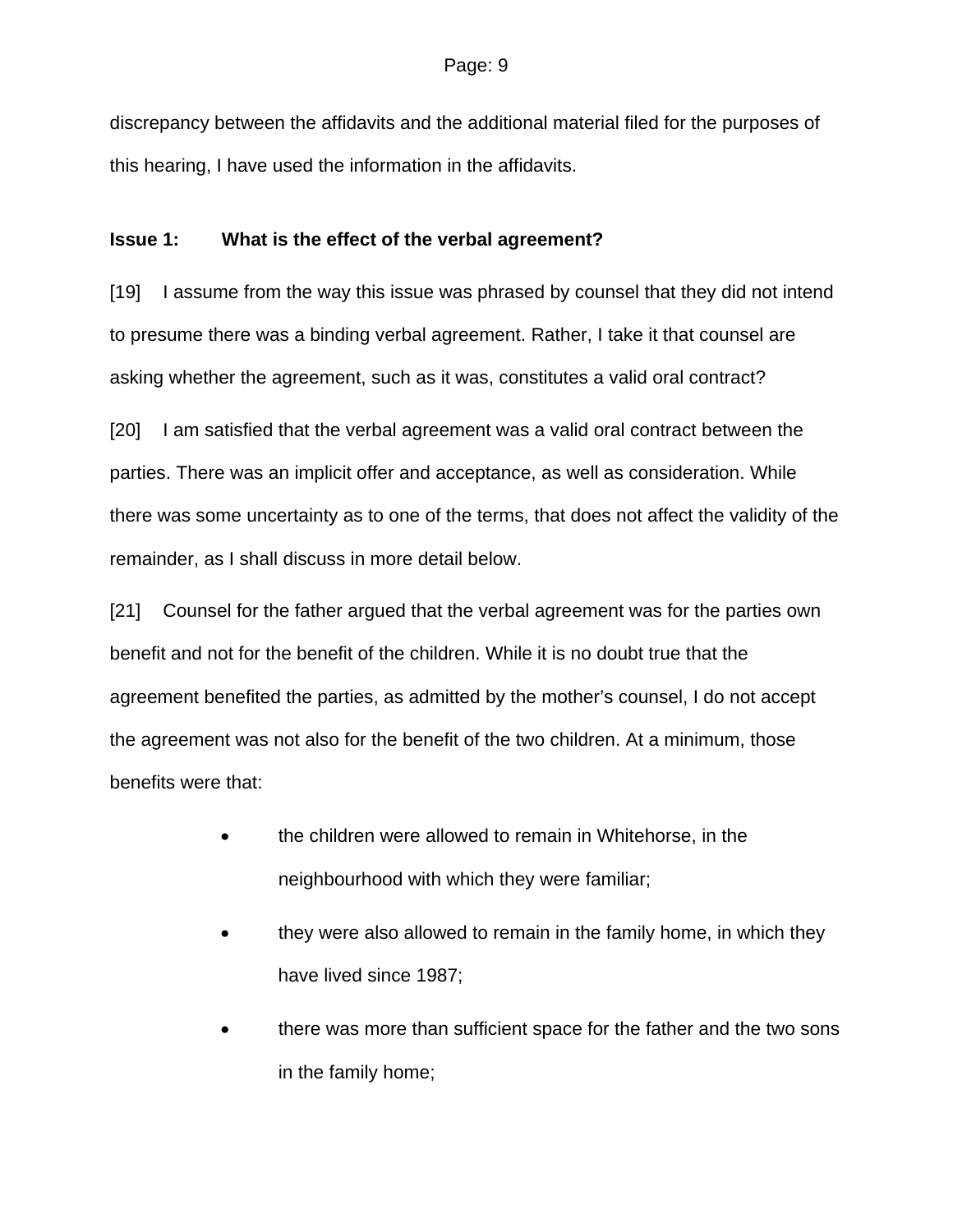discrepancy between the affidavits and the additional material filed for the purposes of this hearing, I have used the information in the affidavits.

## **Issue 1: What is the effect of the verbal agreement?**

[19] I assume from the way this issue was phrased by counsel that they did not intend to presume there was a binding verbal agreement. Rather, I take it that counsel are asking whether the agreement, such as it was, constitutes a valid oral contract?

[20] I am satisfied that the verbal agreement was a valid oral contract between the parties. There was an implicit offer and acceptance, as well as consideration. While there was some uncertainty as to one of the terms, that does not affect the validity of the remainder, as I shall discuss in more detail below.

[21] Counsel for the father argued that the verbal agreement was for the parties own benefit and not for the benefit of the children. While it is no doubt true that the agreement benefited the parties, as admitted by the mother's counsel, I do not accept the agreement was not also for the benefit of the two children. At a minimum, those benefits were that:

- the children were allowed to remain in Whitehorse, in the neighbourhood with which they were familiar;
- they were also allowed to remain in the family home, in which they have lived since 1987;
- there was more than sufficient space for the father and the two sons in the family home;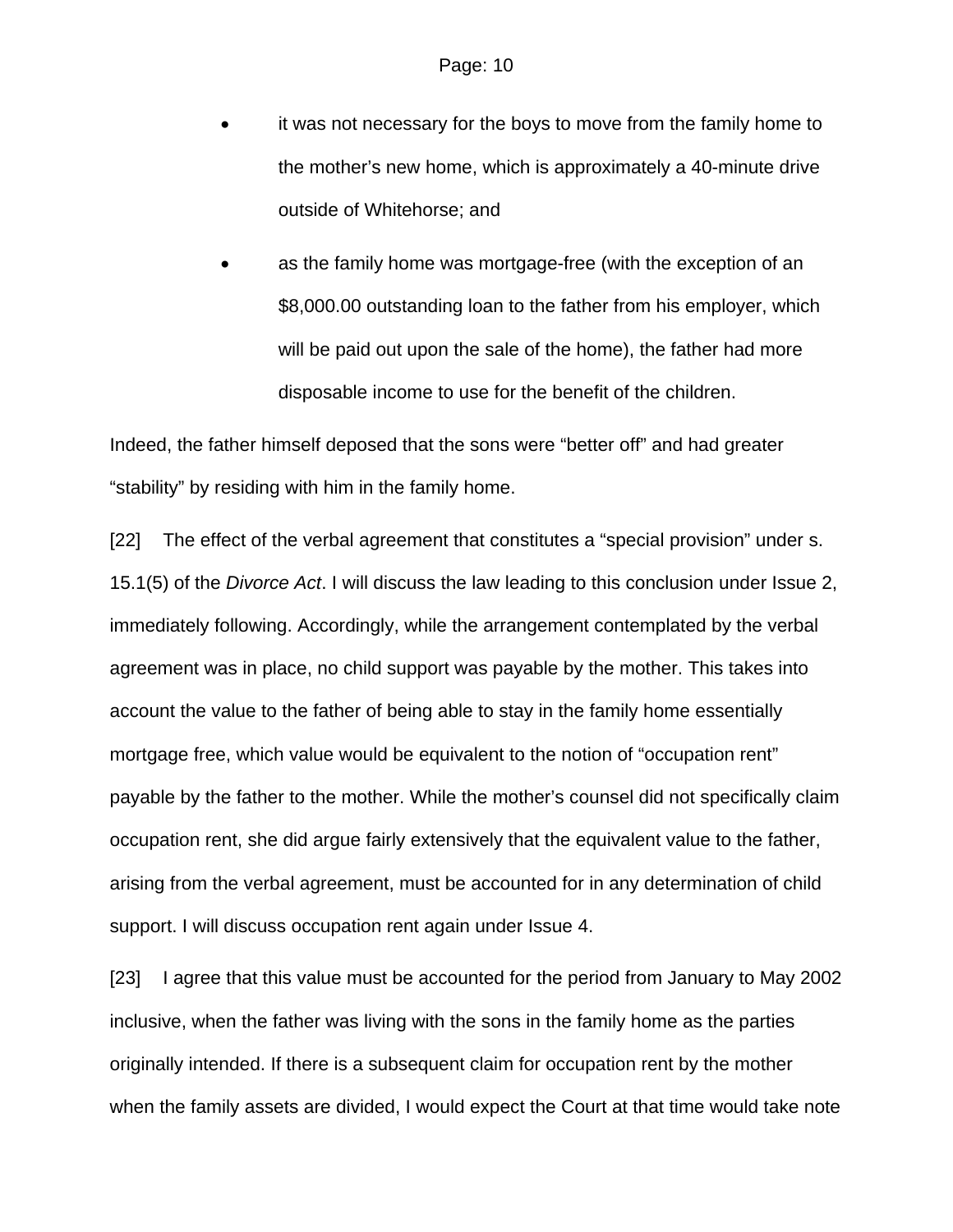- it was not necessary for the boys to move from the family home to the mother's new home, which is approximately a 40-minute drive outside of Whitehorse; and
- as the family home was mortgage-free (with the exception of an \$8,000.00 outstanding loan to the father from his employer, which will be paid out upon the sale of the home), the father had more disposable income to use for the benefit of the children.

Indeed, the father himself deposed that the sons were "better off" and had greater "stability" by residing with him in the family home.

[22] The effect of the verbal agreement that constitutes a "special provision" under s. 15.1(5) of the *Divorce Act*. I will discuss the law leading to this conclusion under Issue 2, immediately following. Accordingly, while the arrangement contemplated by the verbal agreement was in place, no child support was payable by the mother. This takes into account the value to the father of being able to stay in the family home essentially mortgage free, which value would be equivalent to the notion of "occupation rent" payable by the father to the mother. While the mother's counsel did not specifically claim occupation rent, she did argue fairly extensively that the equivalent value to the father, arising from the verbal agreement, must be accounted for in any determination of child support. I will discuss occupation rent again under Issue 4.

[23] I agree that this value must be accounted for the period from January to May 2002 inclusive, when the father was living with the sons in the family home as the parties originally intended. If there is a subsequent claim for occupation rent by the mother when the family assets are divided, I would expect the Court at that time would take note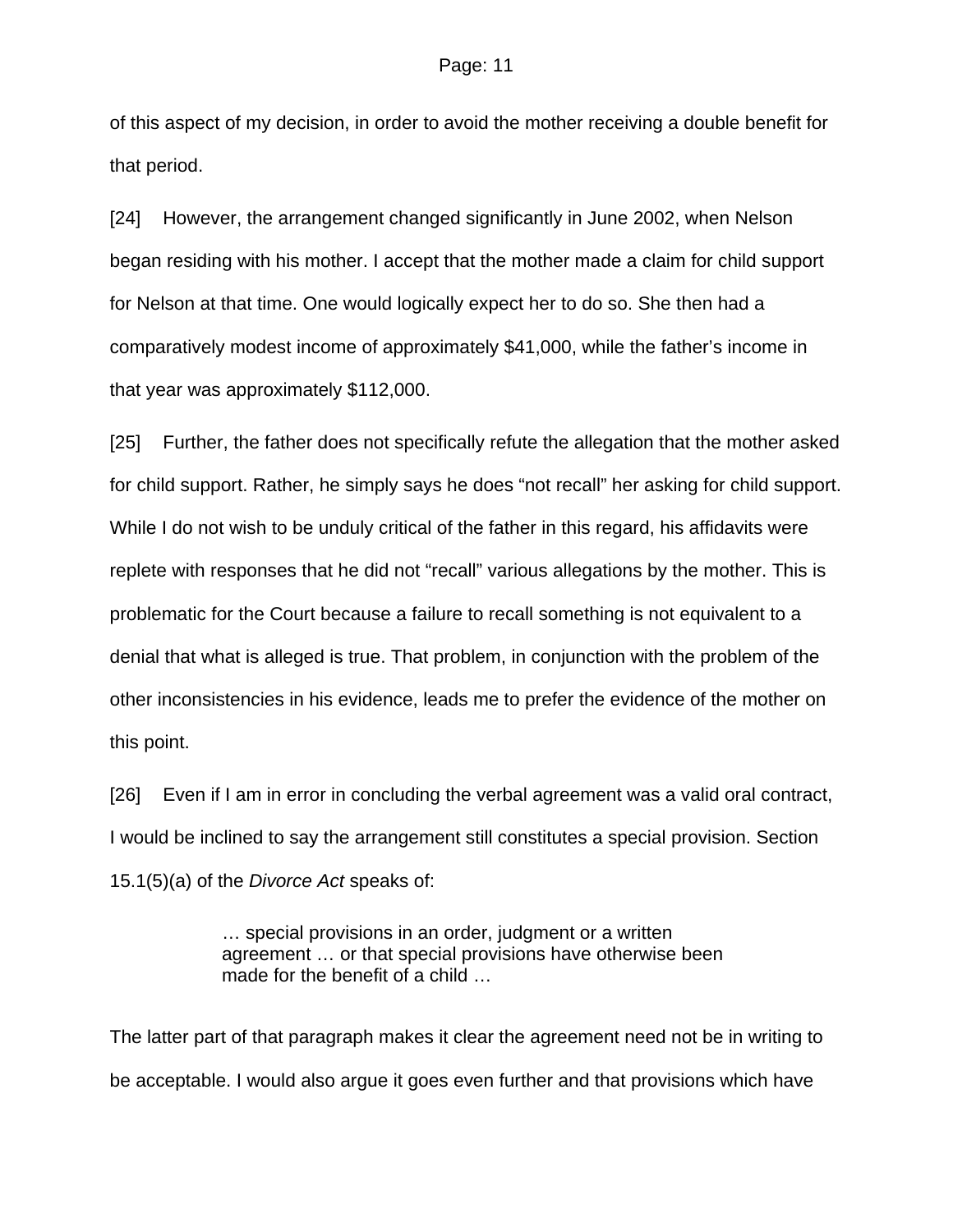of this aspect of my decision, in order to avoid the mother receiving a double benefit for that period.

[24] However, the arrangement changed significantly in June 2002, when Nelson began residing with his mother. I accept that the mother made a claim for child support for Nelson at that time. One would logically expect her to do so. She then had a comparatively modest income of approximately \$41,000, while the father's income in that year was approximately \$112,000.

[25] Further, the father does not specifically refute the allegation that the mother asked for child support. Rather, he simply says he does "not recall" her asking for child support. While I do not wish to be unduly critical of the father in this regard, his affidavits were replete with responses that he did not "recall" various allegations by the mother. This is problematic for the Court because a failure to recall something is not equivalent to a denial that what is alleged is true. That problem, in conjunction with the problem of the other inconsistencies in his evidence, leads me to prefer the evidence of the mother on this point.

[26] Even if I am in error in concluding the verbal agreement was a valid oral contract, I would be inclined to say the arrangement still constitutes a special provision. Section 15.1(5)(a) of the *Divorce Act* speaks of:

> … special provisions in an order, judgment or a written agreement … or that special provisions have otherwise been made for the benefit of a child …

The latter part of that paragraph makes it clear the agreement need not be in writing to be acceptable. I would also argue it goes even further and that provisions which have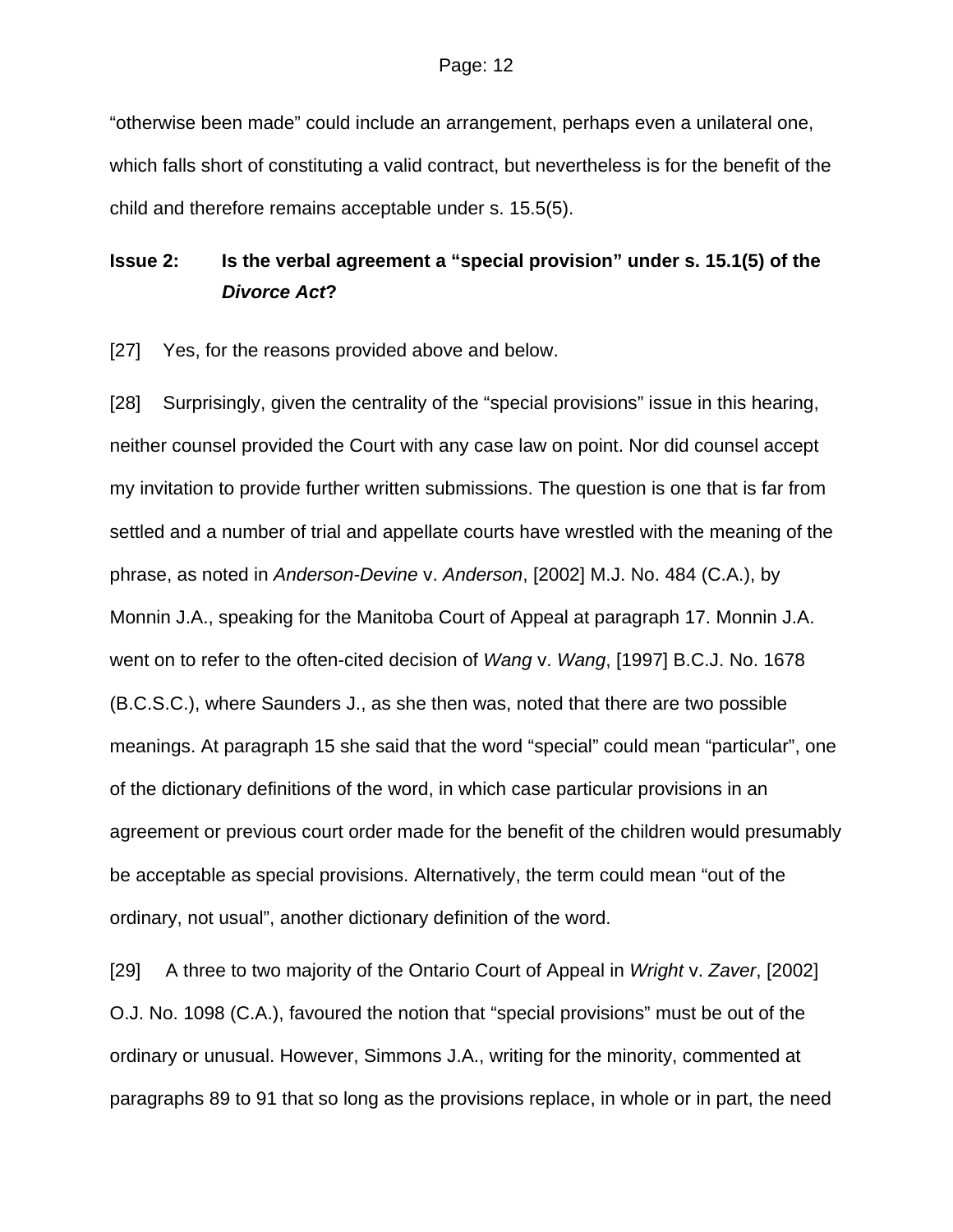"otherwise been made" could include an arrangement, perhaps even a unilateral one, which falls short of constituting a valid contract, but nevertheless is for the benefit of the child and therefore remains acceptable under s. 15.5(5).

# **Issue 2: Is the verbal agreement a "special provision" under s. 15.1(5) of the**  *Divorce Act***?**

[27] Yes, for the reasons provided above and below.

[28] Surprisingly, given the centrality of the "special provisions" issue in this hearing, neither counsel provided the Court with any case law on point. Nor did counsel accept my invitation to provide further written submissions. The question is one that is far from settled and a number of trial and appellate courts have wrestled with the meaning of the phrase, as noted in *Anderson-Devine* v. *Anderson*, [2002] M.J. No. 484 (C.A.), by Monnin J.A., speaking for the Manitoba Court of Appeal at paragraph 17. Monnin J.A. went on to refer to the often-cited decision of *Wang* v. *Wang*, [1997] B.C.J. No. 1678 (B.C.S.C.), where Saunders J., as she then was, noted that there are two possible meanings. At paragraph 15 she said that the word "special" could mean "particular", one of the dictionary definitions of the word, in which case particular provisions in an agreement or previous court order made for the benefit of the children would presumably be acceptable as special provisions. Alternatively, the term could mean "out of the ordinary, not usual", another dictionary definition of the word.

[29] A three to two majority of the Ontario Court of Appeal in *Wright* v. *Zaver*, [2002] O.J. No. 1098 (C.A.), favoured the notion that "special provisions" must be out of the ordinary or unusual. However, Simmons J.A., writing for the minority, commented at paragraphs 89 to 91 that so long as the provisions replace, in whole or in part, the need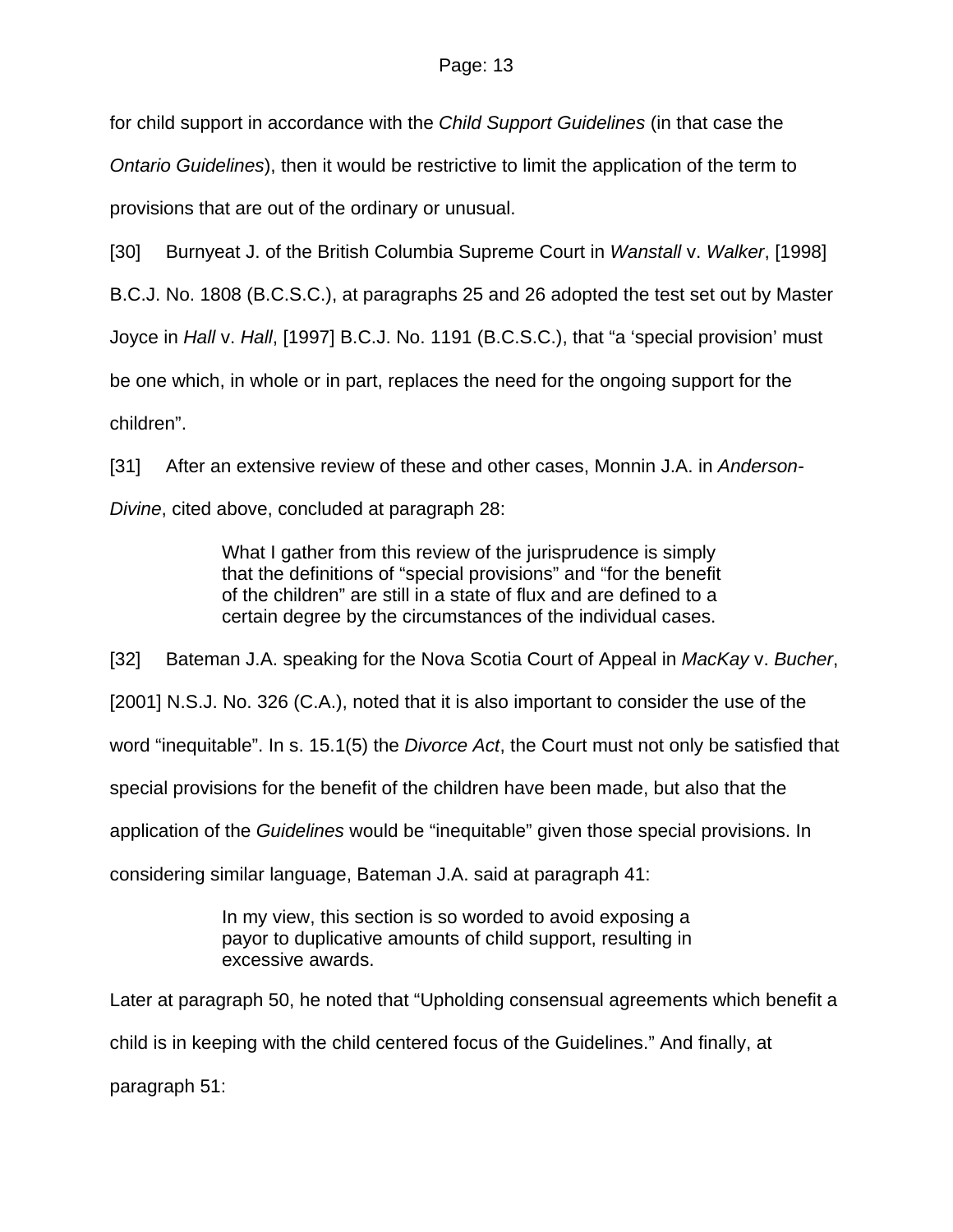for child support in accordance with the *Child Support Guidelines* (in that case the *Ontario Guidelines*), then it would be restrictive to limit the application of the term to provisions that are out of the ordinary or unusual.

[30] Burnyeat J. of the British Columbia Supreme Court in *Wanstall* v. *Walker*, [1998]

B.C.J. No. 1808 (B.C.S.C.), at paragraphs 25 and 26 adopted the test set out by Master

Joyce in *Hall* v. *Hall*, [1997] B.C.J. No. 1191 (B.C.S.C.), that "a 'special provision' must

be one which, in whole or in part, replaces the need for the ongoing support for the children".

[31] After an extensive review of these and other cases, Monnin J.A. in *Anderson-Divine*, cited above, concluded at paragraph 28:

> What I gather from this review of the jurisprudence is simply that the definitions of "special provisions" and "for the benefit of the children" are still in a state of flux and are defined to a certain degree by the circumstances of the individual cases.

[32] Bateman J.A. speaking for the Nova Scotia Court of Appeal in *MacKay* v. *Bucher*,

[2001] N.S.J. No. 326 (C.A.), noted that it is also important to consider the use of the

word "inequitable". In s. 15.1(5) the *Divorce Act*, the Court must not only be satisfied that

special provisions for the benefit of the children have been made, but also that the

application of the *Guidelines* would be "inequitable" given those special provisions. In

considering similar language, Bateman J.A. said at paragraph 41:

In my view, this section is so worded to avoid exposing a payor to duplicative amounts of child support, resulting in excessive awards.

Later at paragraph 50, he noted that "Upholding consensual agreements which benefit a child is in keeping with the child centered focus of the Guidelines." And finally, at paragraph 51: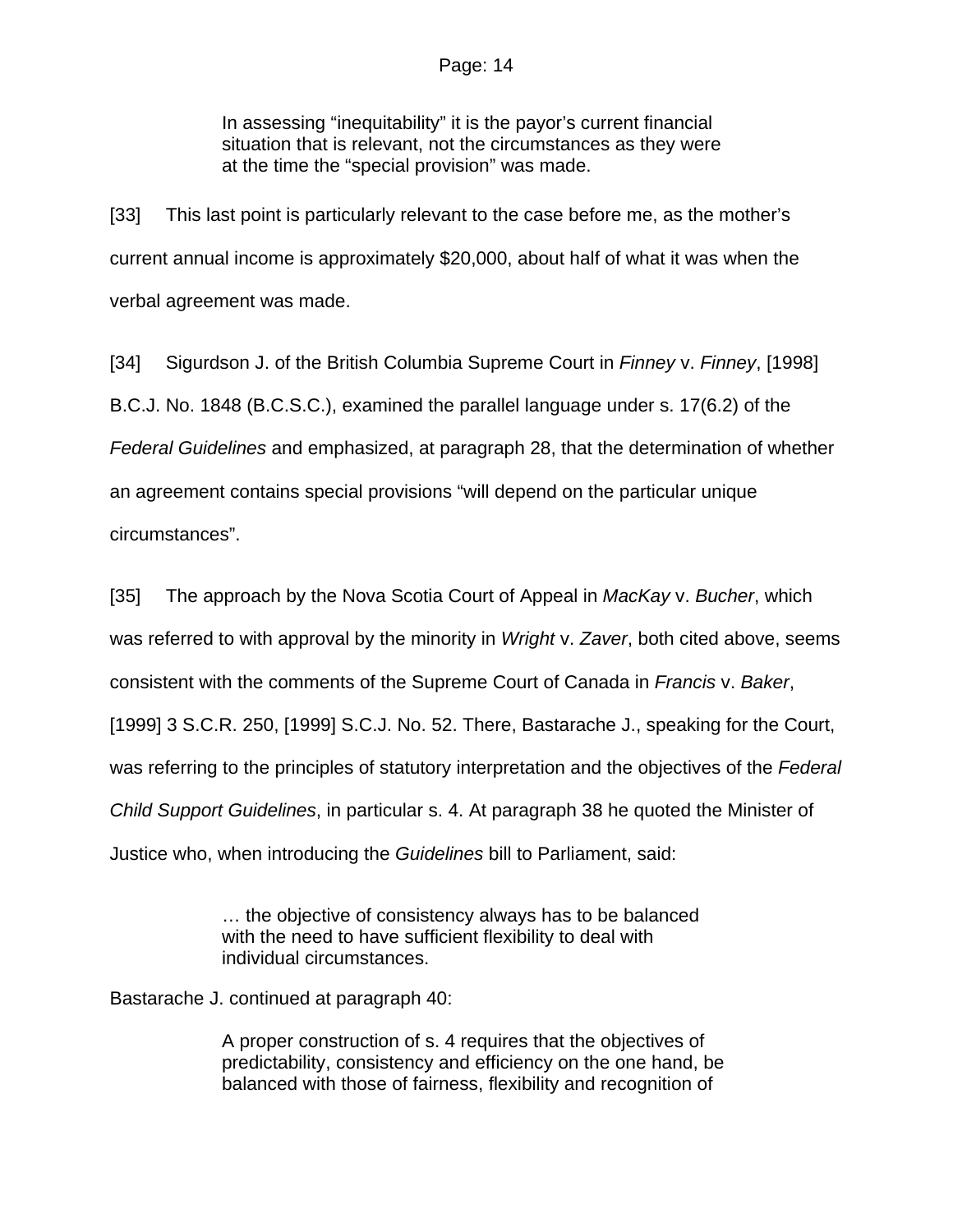In assessing "inequitability" it is the payor's current financial situation that is relevant, not the circumstances as they were at the time the "special provision" was made.

[33] This last point is particularly relevant to the case before me, as the mother's current annual income is approximately \$20,000, about half of what it was when the verbal agreement was made.

[34] Sigurdson J. of the British Columbia Supreme Court in *Finney* v. *Finney*, [1998] B.C.J. No. 1848 (B.C.S.C.), examined the parallel language under s. 17(6.2) of the *Federal Guidelines* and emphasized, at paragraph 28, that the determination of whether an agreement contains special provisions "will depend on the particular unique circumstances".

[35] The approach by the Nova Scotia Court of Appeal in *MacKay* v. *Bucher*, which was referred to with approval by the minority in *Wright* v. *Zaver*, both cited above, seems consistent with the comments of the Supreme Court of Canada in *Francis* v. *Baker*, [1999] 3 S.C.R. 250, [1999] S.C.J. No. 52. There, Bastarache J., speaking for the Court, was referring to the principles of statutory interpretation and the objectives of the *Federal Child Support Guidelines*, in particular s. 4. At paragraph 38 he quoted the Minister of Justice who, when introducing the *Guidelines* bill to Parliament, said:

> … the objective of consistency always has to be balanced with the need to have sufficient flexibility to deal with individual circumstances.

Bastarache J. continued at paragraph 40:

A proper construction of s. 4 requires that the objectives of predictability, consistency and efficiency on the one hand, be balanced with those of fairness, flexibility and recognition of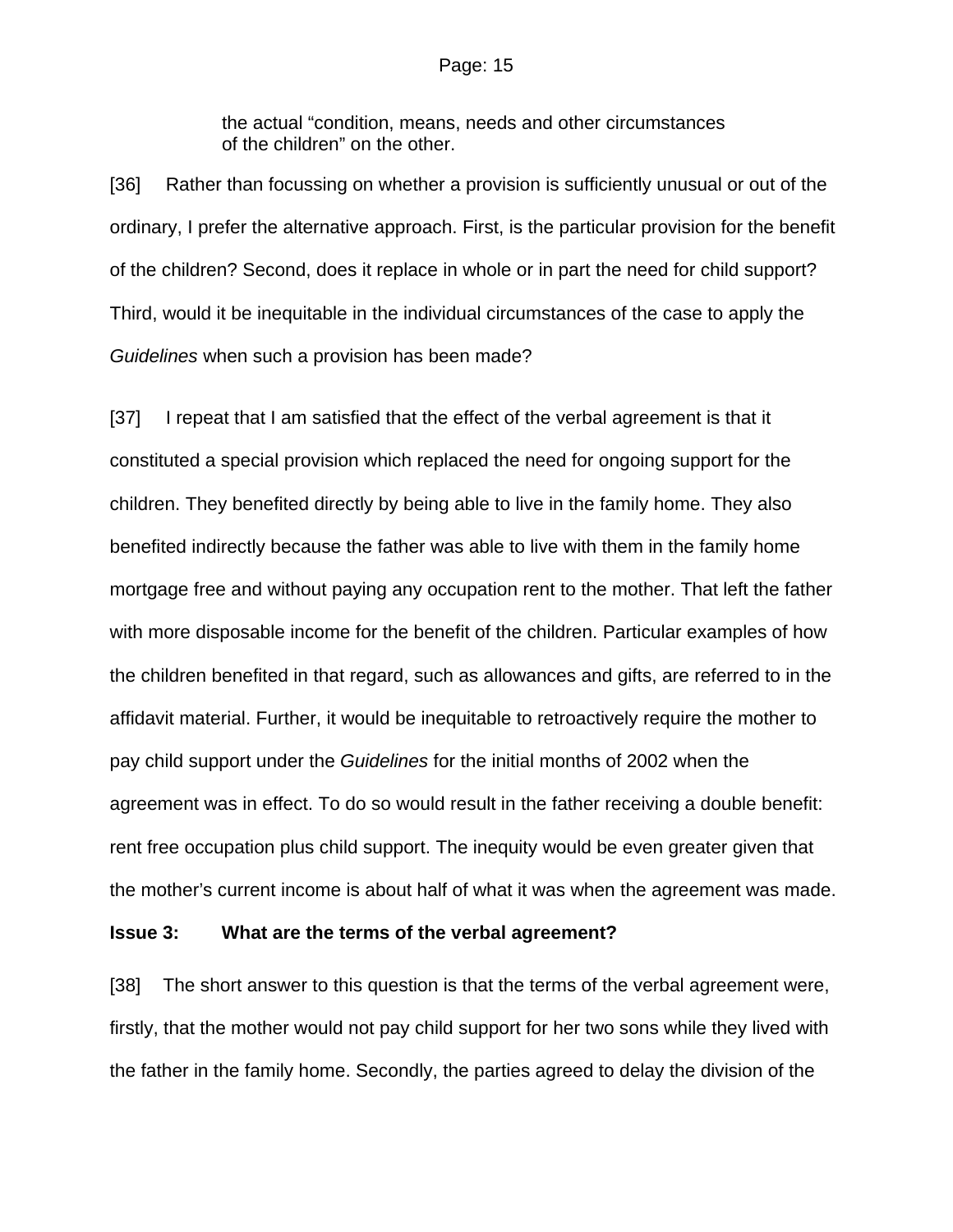the actual "condition, means, needs and other circumstances of the children" on the other.

[36] Rather than focussing on whether a provision is sufficiently unusual or out of the ordinary, I prefer the alternative approach. First, is the particular provision for the benefit of the children? Second, does it replace in whole or in part the need for child support? Third, would it be inequitable in the individual circumstances of the case to apply the *Guidelines* when such a provision has been made?

[37] I repeat that I am satisfied that the effect of the verbal agreement is that it constituted a special provision which replaced the need for ongoing support for the children. They benefited directly by being able to live in the family home. They also benefited indirectly because the father was able to live with them in the family home mortgage free and without paying any occupation rent to the mother. That left the father with more disposable income for the benefit of the children. Particular examples of how the children benefited in that regard, such as allowances and gifts, are referred to in the affidavit material. Further, it would be inequitable to retroactively require the mother to pay child support under the *Guidelines* for the initial months of 2002 when the agreement was in effect. To do so would result in the father receiving a double benefit: rent free occupation plus child support. The inequity would be even greater given that the mother's current income is about half of what it was when the agreement was made.

## **Issue 3: What are the terms of the verbal agreement?**

[38] The short answer to this question is that the terms of the verbal agreement were, firstly, that the mother would not pay child support for her two sons while they lived with the father in the family home. Secondly, the parties agreed to delay the division of the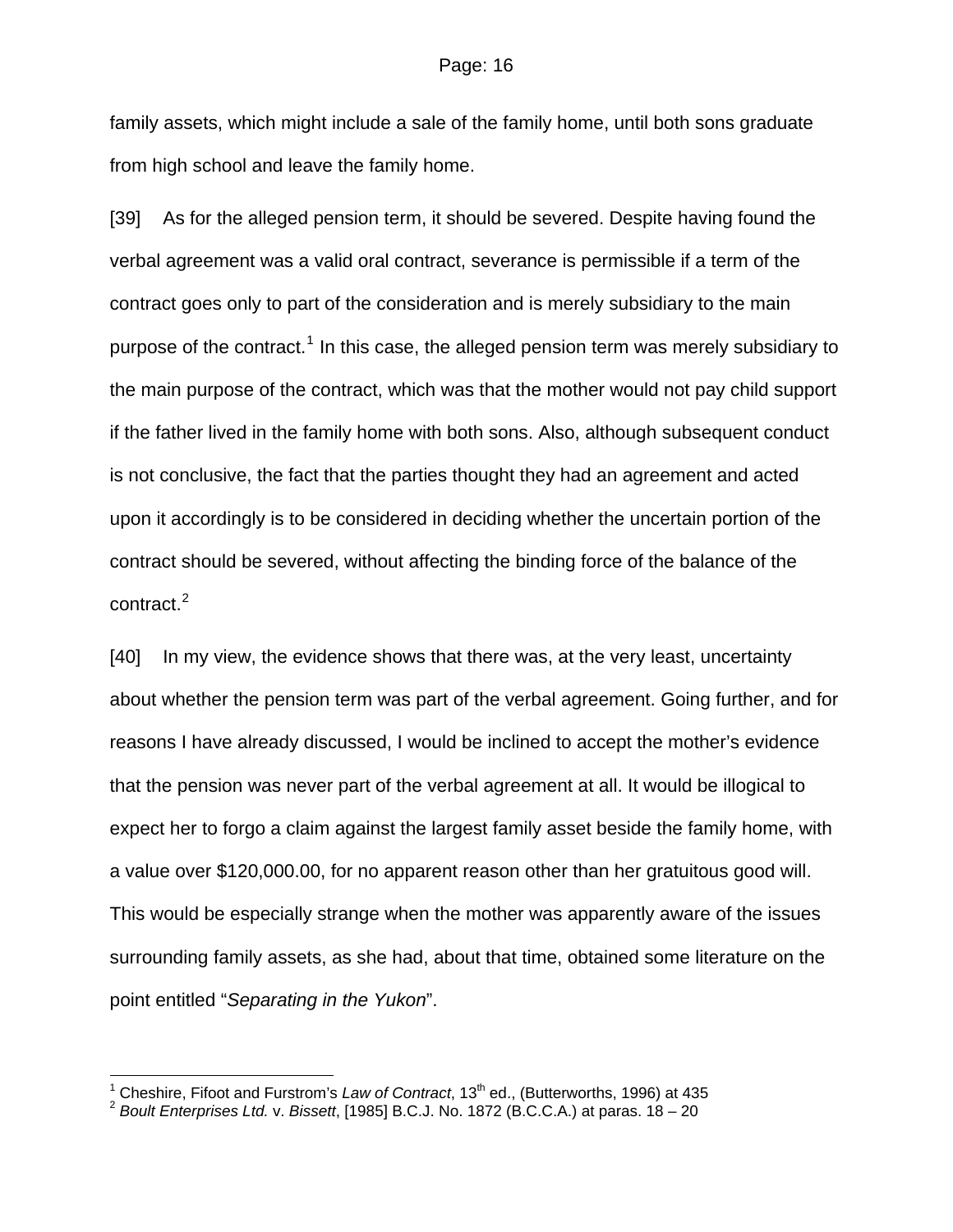family assets, which might include a sale of the family home, until both sons graduate from high school and leave the family home.

[39] As for the alleged pension term, it should be severed. Despite having found the verbal agreement was a valid oral contract, severance is permissible if a term of the contract goes only to part of the consideration and is merely subsidiary to the main purpose of the contract.<sup>[1](#page-15-0)</sup> In this case, the alleged pension term was merely subsidiary to the main purpose of the contract, which was that the mother would not pay child support if the father lived in the family home with both sons. Also, although subsequent conduct is not conclusive, the fact that the parties thought they had an agreement and acted upon it accordingly is to be considered in deciding whether the uncertain portion of the contract should be severed, without affecting the binding force of the balance of the contract. $2$ 

[40] In my view, the evidence shows that there was, at the very least, uncertainty about whether the pension term was part of the verbal agreement. Going further, and for reasons I have already discussed, I would be inclined to accept the mother's evidence that the pension was never part of the verbal agreement at all. It would be illogical to expect her to forgo a claim against the largest family asset beside the family home, with a value over \$120,000.00, for no apparent reason other than her gratuitous good will. This would be especially strange when the mother was apparently aware of the issues surrounding family assets, as she had, about that time, obtained some literature on the point entitled "*Separating in the Yukon*".

 $\frac{1}{1}$ 

<span id="page-15-1"></span><span id="page-15-0"></span>Cheshire, Fifoot and Furstrom's *Law of Contract*, 13th ed., (Butterworths, 1996) at 435 2 *Boult Enterprises Ltd.* v. *Bissett*, [1985] B.C.J. No. 1872 (B.C.C.A.) at paras. 18 – 20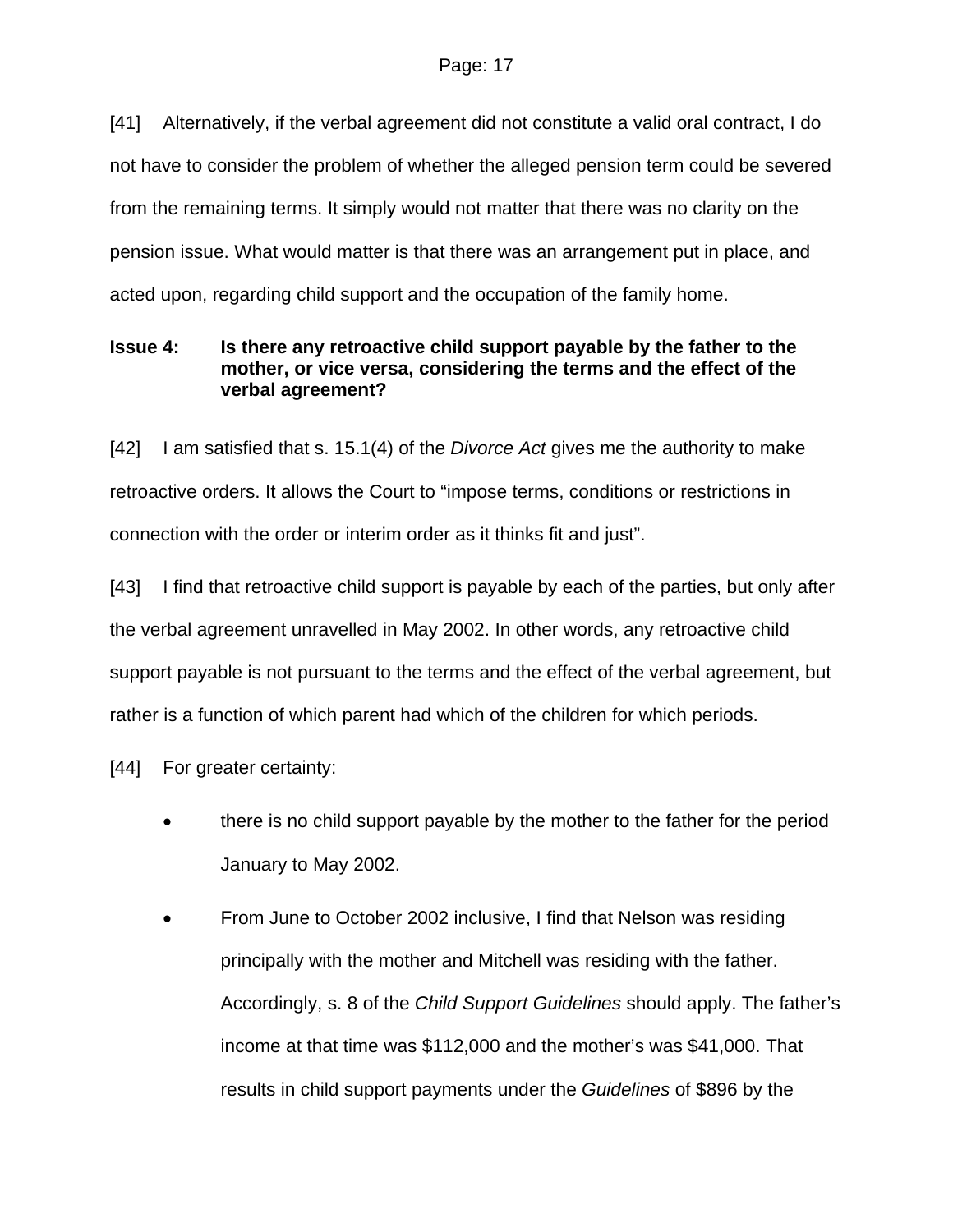[41] Alternatively, if the verbal agreement did not constitute a valid oral contract, I do not have to consider the problem of whether the alleged pension term could be severed from the remaining terms. It simply would not matter that there was no clarity on the pension issue. What would matter is that there was an arrangement put in place, and acted upon, regarding child support and the occupation of the family home.

## **Issue 4: Is there any retroactive child support payable by the father to the mother, or vice versa, considering the terms and the effect of the verbal agreement?**

[42] I am satisfied that s. 15.1(4) of the *Divorce Act* gives me the authority to make retroactive orders. It allows the Court to "impose terms, conditions or restrictions in connection with the order or interim order as it thinks fit and just".

[43] I find that retroactive child support is payable by each of the parties, but only after the verbal agreement unravelled in May 2002. In other words, any retroactive child support payable is not pursuant to the terms and the effect of the verbal agreement, but rather is a function of which parent had which of the children for which periods.

[44] For greater certainty:

- there is no child support payable by the mother to the father for the period January to May 2002.
- From June to October 2002 inclusive, I find that Nelson was residing principally with the mother and Mitchell was residing with the father. Accordingly, s. 8 of the *Child Support Guidelines* should apply. The father's income at that time was \$112,000 and the mother's was \$41,000. That results in child support payments under the *Guidelines* of \$896 by the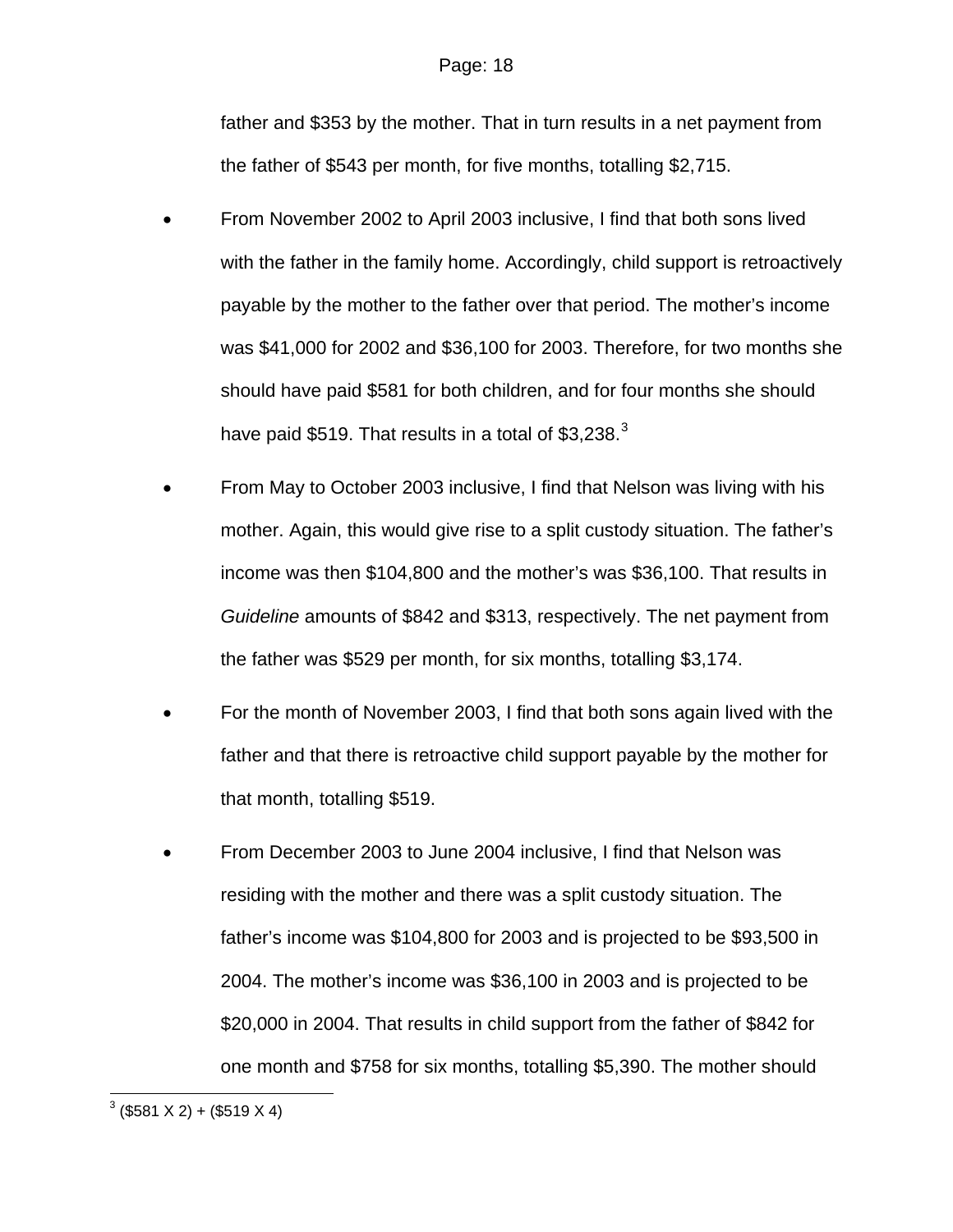father and \$353 by the mother. That in turn results in a net payment from the father of \$543 per month, for five months, totalling \$2,715.

- From November 2002 to April 2003 inclusive, I find that both sons lived with the father in the family home. Accordingly, child support is retroactively payable by the mother to the father over that period. The mother's income was \$41,000 for 2002 and \$36,100 for 2003. Therefore, for two months she should have paid \$581 for both children, and for four months she should have paid \$519. That results in a total of \$[3](#page-17-0),238. $3$
- From May to October 2003 inclusive, I find that Nelson was living with his mother. Again, this would give rise to a split custody situation. The father's income was then \$104,800 and the mother's was \$36,100. That results in *Guideline* amounts of \$842 and \$313, respectively. The net payment from the father was \$529 per month, for six months, totalling \$3,174.
- For the month of November 2003, I find that both sons again lived with the father and that there is retroactive child support payable by the mother for that month, totalling \$519.
- From December 2003 to June 2004 inclusive, I find that Nelson was residing with the mother and there was a split custody situation. The father's income was \$104,800 for 2003 and is projected to be \$93,500 in 2004. The mother's income was \$36,100 in 2003 and is projected to be \$20,000 in 2004. That results in child support from the father of \$842 for one month and \$758 for six months, totalling \$5,390. The mother should

<span id="page-17-0"></span> $\frac{3}{($581 X 2) + ($519 X 4)}$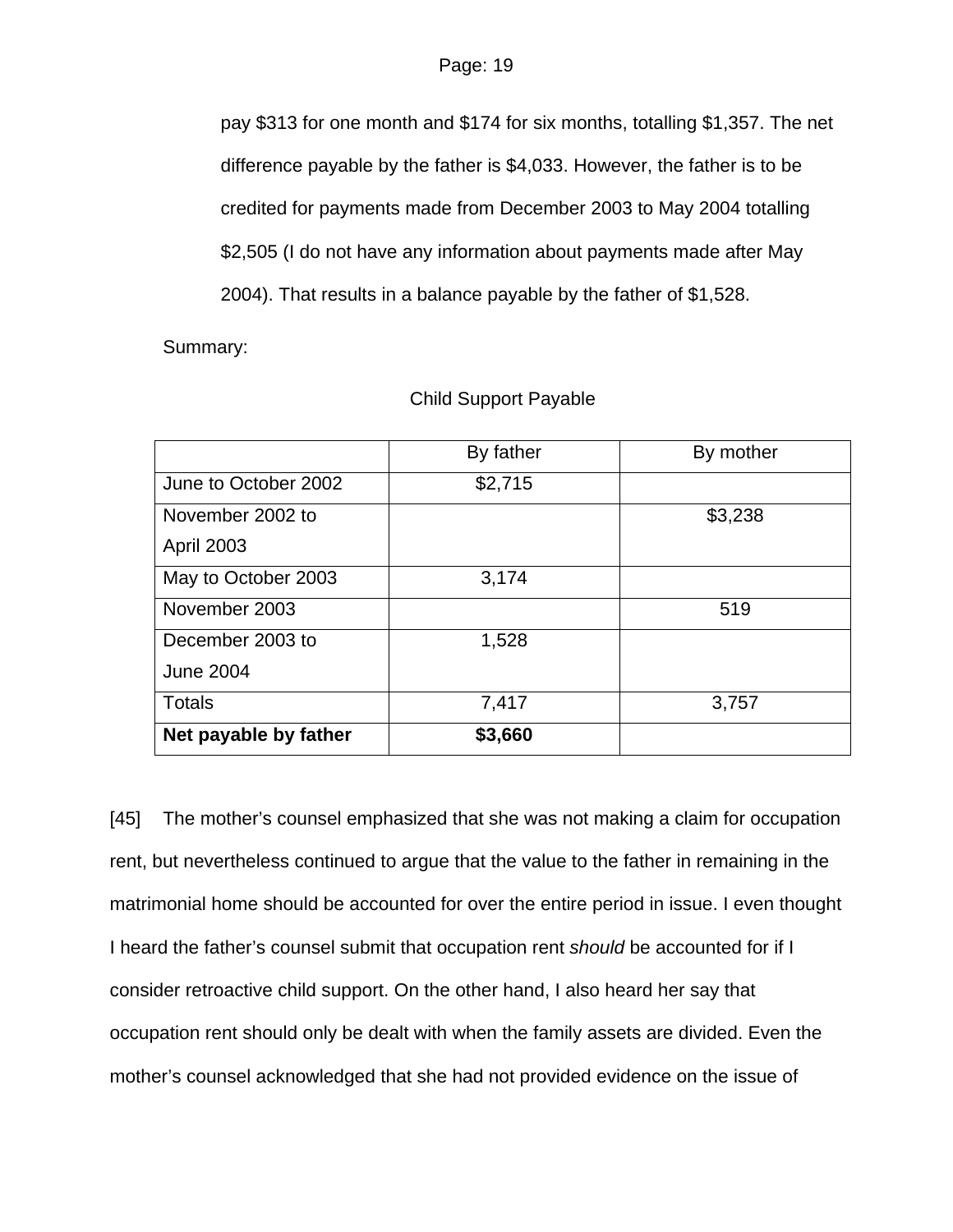pay \$313 for one month and \$174 for six months, totalling \$1,357. The net difference payable by the father is \$4,033. However, the father is to be credited for payments made from December 2003 to May 2004 totalling \$2,505 (I do not have any information about payments made after May 2004). That results in a balance payable by the father of \$1,528.

Summary:

|                       | By father | By mother |
|-----------------------|-----------|-----------|
| June to October 2002  | \$2,715   |           |
| November 2002 to      |           | \$3,238   |
| <b>April 2003</b>     |           |           |
| May to October 2003   | 3,174     |           |
| November 2003         |           | 519       |
| December 2003 to      | 1,528     |           |
| <b>June 2004</b>      |           |           |
| Totals                | 7,417     | 3,757     |
| Net payable by father | \$3,660   |           |

## Child Support Payable

[45] The mother's counsel emphasized that she was not making a claim for occupation rent, but nevertheless continued to argue that the value to the father in remaining in the matrimonial home should be accounted for over the entire period in issue. I even thought I heard the father's counsel submit that occupation rent *should* be accounted for if I consider retroactive child support. On the other hand, I also heard her say that occupation rent should only be dealt with when the family assets are divided. Even the mother's counsel acknowledged that she had not provided evidence on the issue of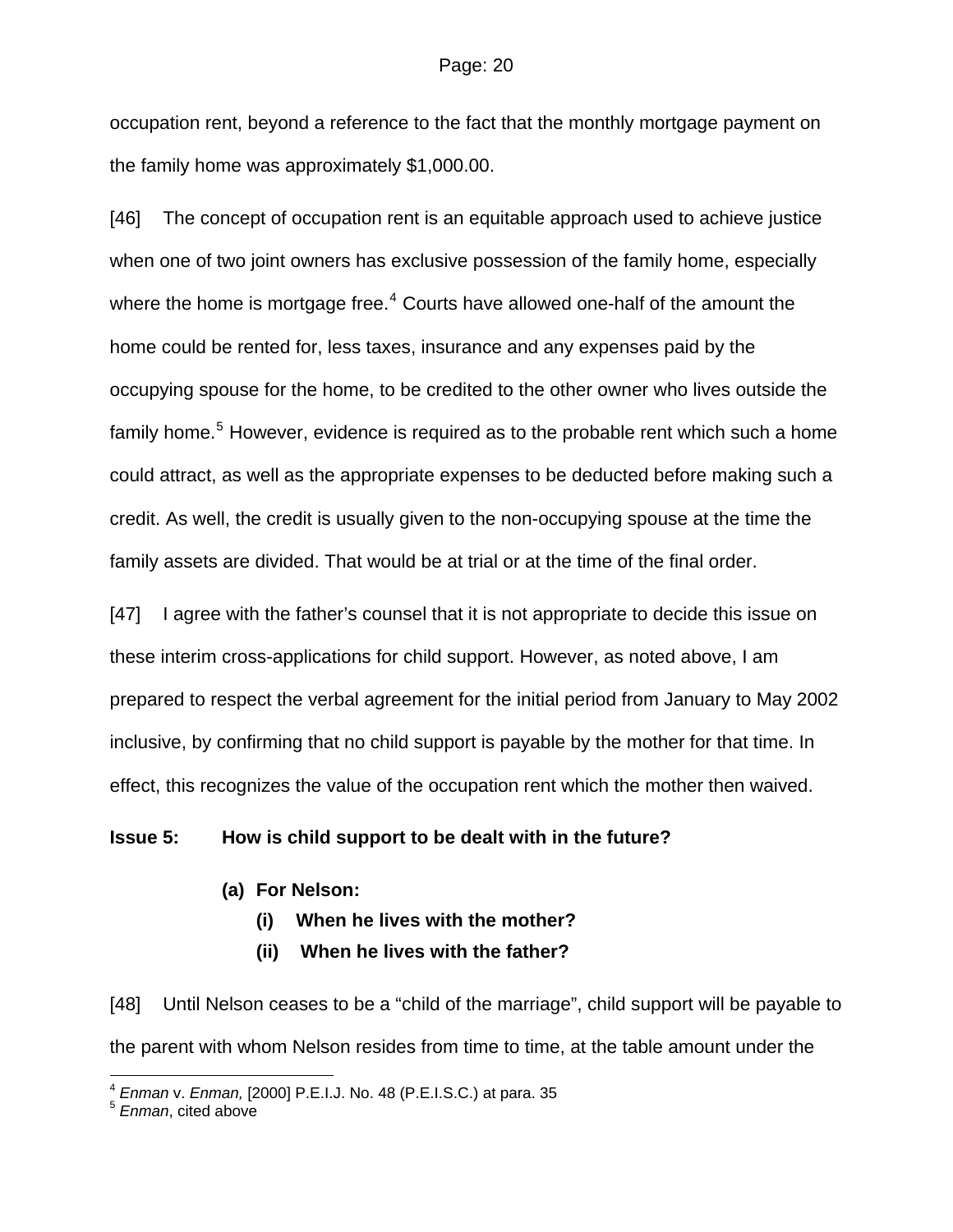occupation rent, beyond a reference to the fact that the monthly mortgage payment on the family home was approximately \$1,000.00.

[46] The concept of occupation rent is an equitable approach used to achieve justice when one of two joint owners has exclusive possession of the family home, especially where the home is mortgage free. $^4$  $^4$  Courts have allowed one-half of the amount the home could be rented for, less taxes, insurance and any expenses paid by the occupying spouse for the home, to be credited to the other owner who lives outside the family home.<sup>[5](#page-19-1)</sup> However, evidence is required as to the probable rent which such a home could attract, as well as the appropriate expenses to be deducted before making such a credit. As well, the credit is usually given to the non-occupying spouse at the time the family assets are divided. That would be at trial or at the time of the final order.

[47] I agree with the father's counsel that it is not appropriate to decide this issue on these interim cross-applications for child support. However, as noted above, I am prepared to respect the verbal agreement for the initial period from January to May 2002 inclusive, by confirming that no child support is payable by the mother for that time. In effect, this recognizes the value of the occupation rent which the mother then waived.

### **Issue 5: How is child support to be dealt with in the future?**

- **(a) For Nelson:** 
	- **(i) When he lives with the mother?**
	- **(ii) When he lives with the father?**

[48] Until Nelson ceases to be a "child of the marriage", child support will be payable to the parent with whom Nelson resides from time to time, at the table amount under the

l

<span id="page-19-0"></span><sup>4</sup> *Enman* v. *Enman,* [2000] P.E.I.J. No. 48 (P.E.I.S.C.) at para. 35 5 *Enman*, cited above

<span id="page-19-1"></span>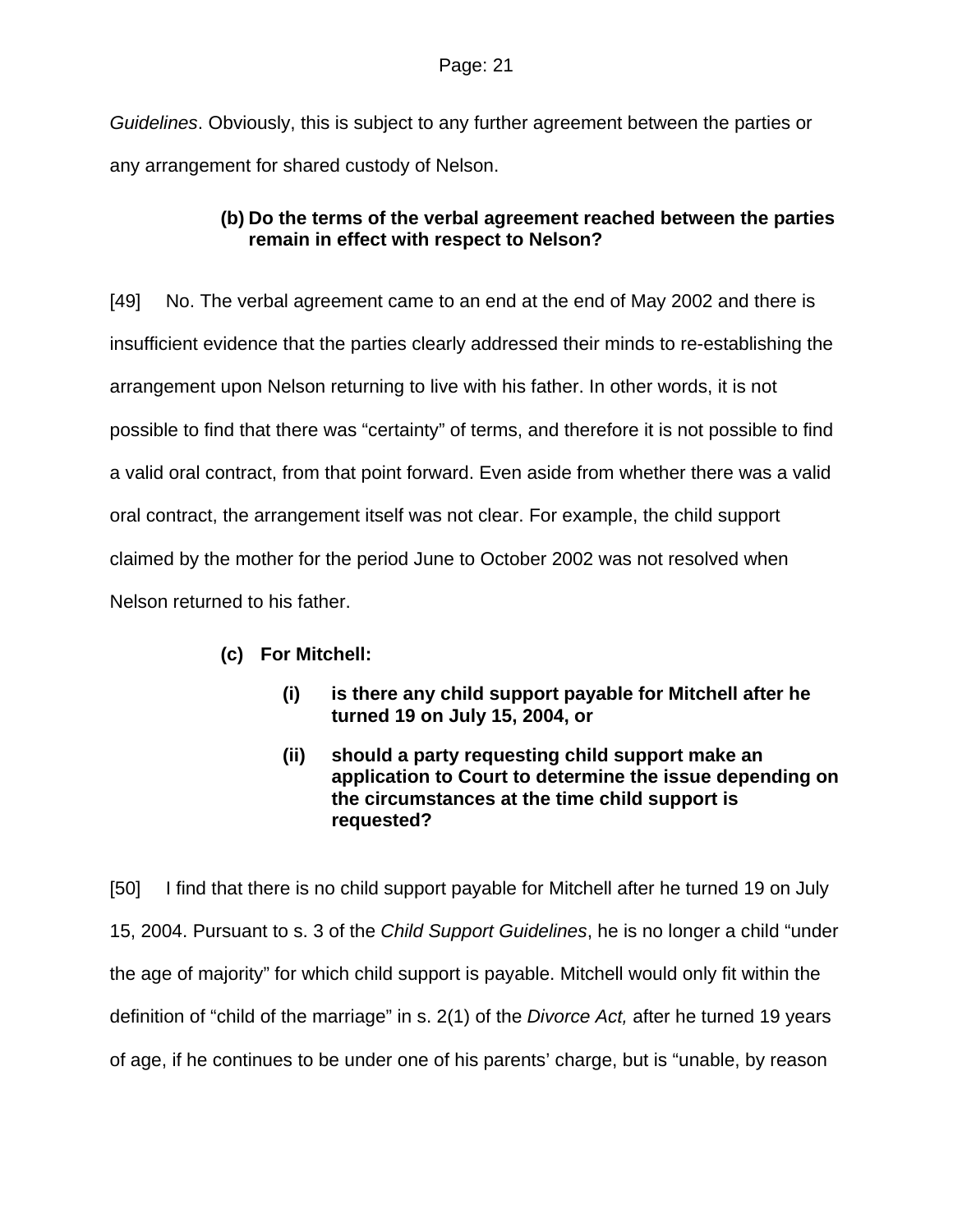*Guidelines*. Obviously, this is subject to any further agreement between the parties or any arrangement for shared custody of Nelson.

# **(b) Do the terms of the verbal agreement reached between the parties remain in effect with respect to Nelson?**

[49] No. The verbal agreement came to an end at the end of May 2002 and there is insufficient evidence that the parties clearly addressed their minds to re-establishing the arrangement upon Nelson returning to live with his father. In other words, it is not possible to find that there was "certainty" of terms, and therefore it is not possible to find a valid oral contract, from that point forward. Even aside from whether there was a valid oral contract, the arrangement itself was not clear. For example, the child support claimed by the mother for the period June to October 2002 was not resolved when Nelson returned to his father.

- **(c) For Mitchell:** 
	- **(i) is there any child support payable for Mitchell after he turned 19 on July 15, 2004, or**
	- **(ii) should a party requesting child support make an application to Court to determine the issue depending on the circumstances at the time child support is requested?**

[50] I find that there is no child support payable for Mitchell after he turned 19 on July 15, 2004. Pursuant to s. 3 of the *Child Support Guidelines*, he is no longer a child "under the age of majority" for which child support is payable. Mitchell would only fit within the definition of "child of the marriage" in s. 2(1) of the *Divorce Act,* after he turned 19 years of age, if he continues to be under one of his parents' charge, but is "unable, by reason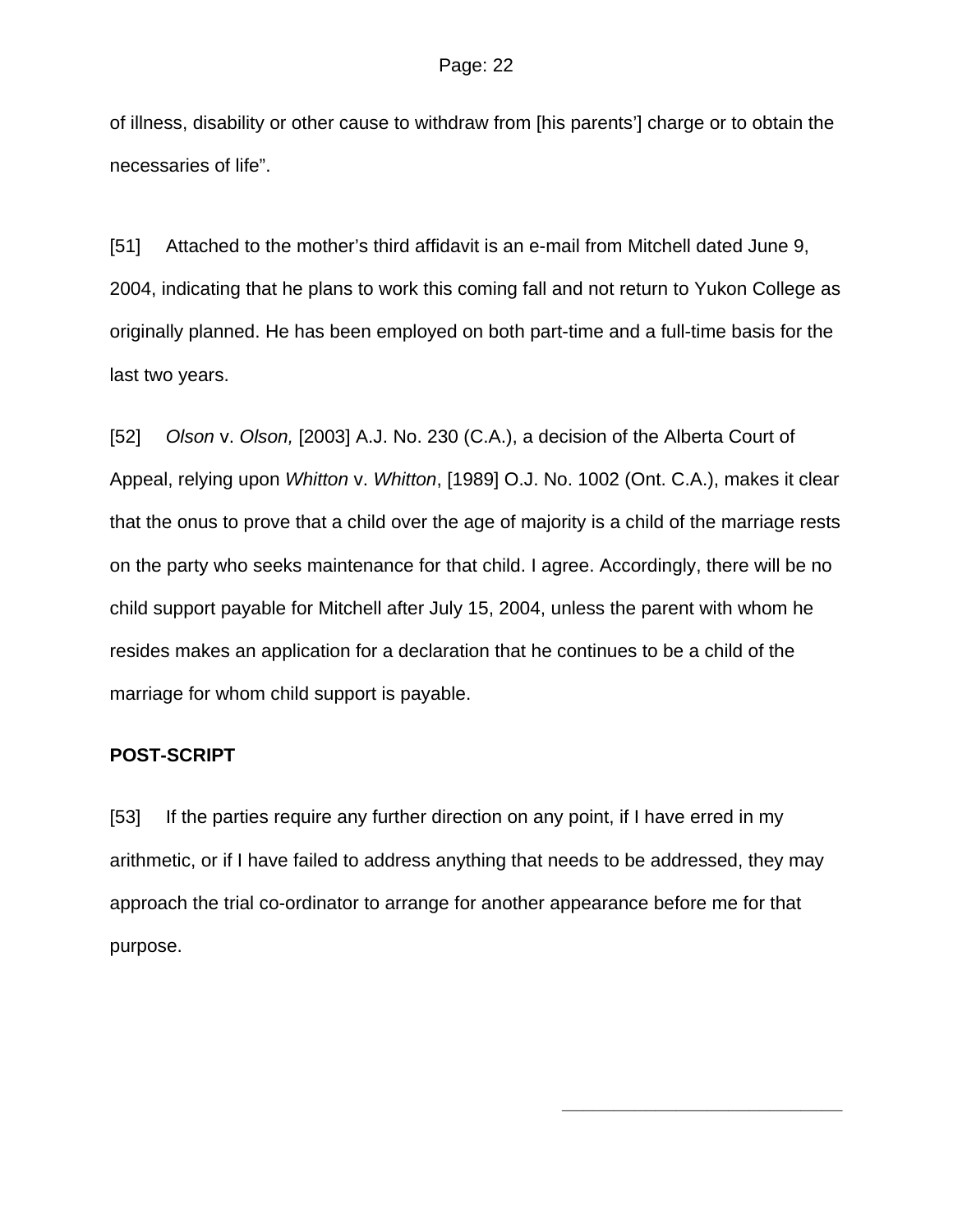of illness, disability or other cause to withdraw from [his parents'] charge or to obtain the necessaries of life".

[51] Attached to the mother's third affidavit is an e-mail from Mitchell dated June 9, 2004, indicating that he plans to work this coming fall and not return to Yukon College as originally planned. He has been employed on both part-time and a full-time basis for the last two years.

[52] *Olson* v. *Olson,* [2003] A.J. No. 230 (C.A.), a decision of the Alberta Court of Appeal, relying upon *Whitton* v. *Whitton*, [1989] O.J. No. 1002 (Ont. C.A.), makes it clear that the onus to prove that a child over the age of majority is a child of the marriage rests on the party who seeks maintenance for that child. I agree. Accordingly, there will be no child support payable for Mitchell after July 15, 2004, unless the parent with whom he resides makes an application for a declaration that he continues to be a child of the marriage for whom child support is payable.

## **POST-SCRIPT**

[53] If the parties require any further direction on any point, if I have erred in my arithmetic, or if I have failed to address anything that needs to be addressed, they may approach the trial co-ordinator to arrange for another appearance before me for that purpose.

**\_\_\_\_\_\_\_\_\_\_\_\_\_\_\_\_\_\_\_\_\_\_\_\_\_\_\_**